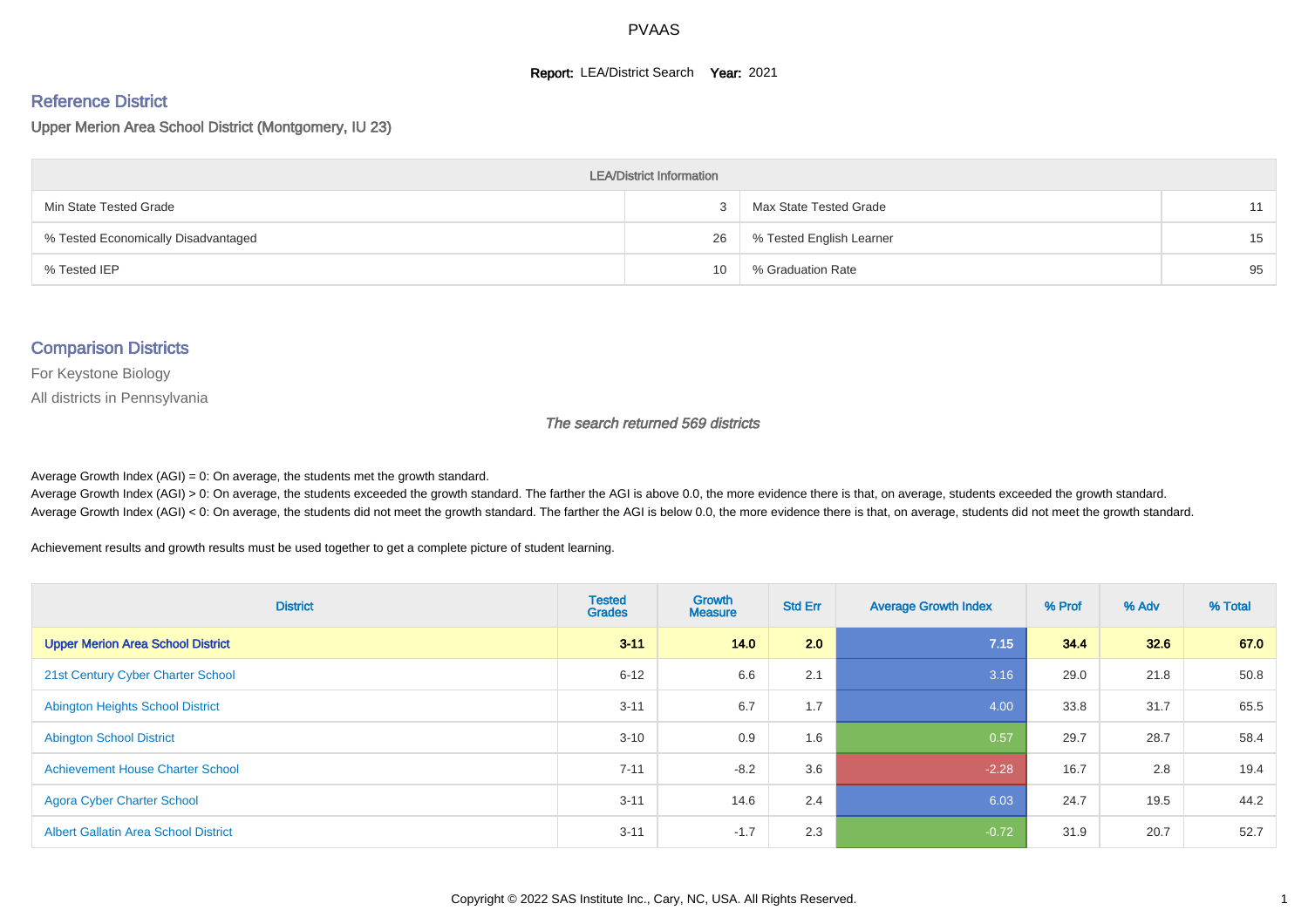#### **Report: LEA/District Search Year: 2021**

#### Reference District

Upper Merion Area School District (Montgomery, IU 23)

| <b>LEA/District Information</b>     |    |                          |    |  |  |  |  |  |  |  |
|-------------------------------------|----|--------------------------|----|--|--|--|--|--|--|--|
| Min State Tested Grade              |    | Max State Tested Grade   | 11 |  |  |  |  |  |  |  |
| % Tested Economically Disadvantaged | 26 | % Tested English Learner | 15 |  |  |  |  |  |  |  |
| % Tested IEP                        | 10 | % Graduation Rate        | 95 |  |  |  |  |  |  |  |

#### Comparison Districts

For Keystone Biology

All districts in Pennsylvania

The search returned 569 districts

Average Growth Index  $(AGI) = 0$ : On average, the students met the growth standard.

Average Growth Index (AGI) > 0: On average, the students exceeded the growth standard. The farther the AGI is above 0.0, the more evidence there is that, on average, students exceeded the growth standard. Average Growth Index (AGI) < 0: On average, the students did not meet the growth standard. The farther the AGI is below 0.0, the more evidence there is that, on average, students did not meet the growth standard.

Achievement results and growth results must be used together to get a complete picture of student learning.

| <b>District</b>                             | <b>Tested</b><br><b>Grades</b> | Growth<br><b>Measure</b> | <b>Std Err</b> | <b>Average Growth Index</b> | % Prof | % Adv | % Total |
|---------------------------------------------|--------------------------------|--------------------------|----------------|-----------------------------|--------|-------|---------|
| <b>Upper Merion Area School District</b>    | $3 - 11$                       | 14.0                     | 2.0            | 7.15                        | 34.4   | 32.6  | 67.0    |
| 21st Century Cyber Charter School           | $6 - 12$                       | 6.6                      | 2.1            | 3.16                        | 29.0   | 21.8  | 50.8    |
| <b>Abington Heights School District</b>     | $3 - 11$                       | 6.7                      | 1.7            | 4.00                        | 33.8   | 31.7  | 65.5    |
| <b>Abington School District</b>             | $3 - 10$                       | 0.9                      | 1.6            | 0.57                        | 29.7   | 28.7  | 58.4    |
| <b>Achievement House Charter School</b>     | $7 - 11$                       | $-8.2$                   | 3.6            | $-2.28$                     | 16.7   | 2.8   | 19.4    |
| <b>Agora Cyber Charter School</b>           | $3 - 11$                       | 14.6                     | 2.4            | 6.03                        | 24.7   | 19.5  | 44.2    |
| <b>Albert Gallatin Area School District</b> | $3 - 11$                       | $-1.7$                   | 2.3            | $-0.72$                     | 31.9   | 20.7  | 52.7    |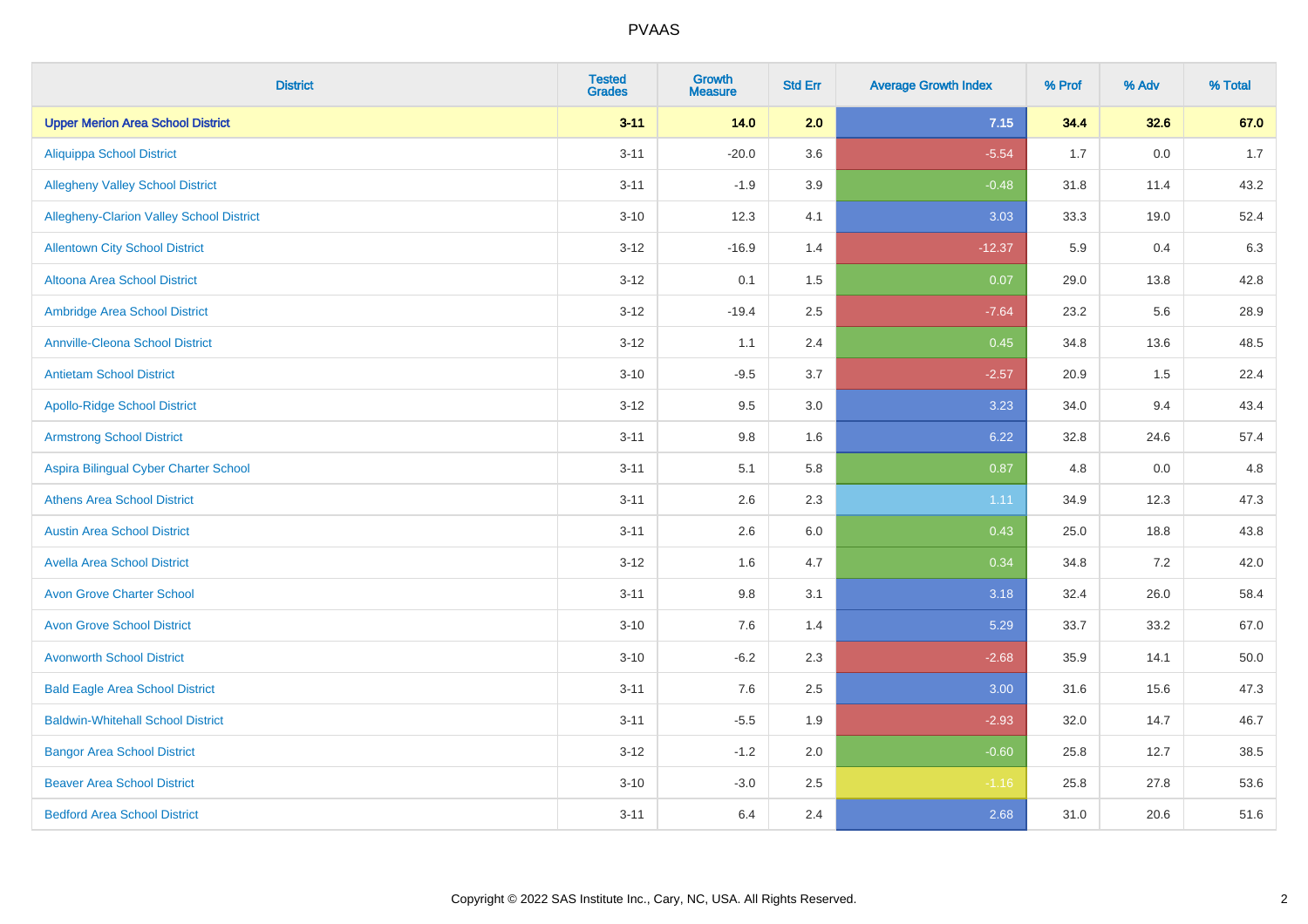| <b>District</b>                                 | <b>Tested</b><br><b>Grades</b> | <b>Growth</b><br><b>Measure</b> | <b>Std Err</b> | <b>Average Growth Index</b> | % Prof | % Adv   | % Total |
|-------------------------------------------------|--------------------------------|---------------------------------|----------------|-----------------------------|--------|---------|---------|
| <b>Upper Merion Area School District</b>        | $3 - 11$                       | 14.0                            | 2.0            | 7.15                        | 34.4   | 32.6    | 67.0    |
| <b>Aliquippa School District</b>                | $3 - 11$                       | $-20.0$                         | 3.6            | $-5.54$                     | 1.7    | $0.0\,$ | 1.7     |
| <b>Allegheny Valley School District</b>         | $3 - 11$                       | $-1.9$                          | 3.9            | $-0.48$                     | 31.8   | 11.4    | 43.2    |
| <b>Allegheny-Clarion Valley School District</b> | $3 - 10$                       | 12.3                            | 4.1            | 3.03                        | 33.3   | 19.0    | 52.4    |
| <b>Allentown City School District</b>           | $3-12$                         | $-16.9$                         | 1.4            | $-12.37$                    | 5.9    | 0.4     | 6.3     |
| Altoona Area School District                    | $3-12$                         | 0.1                             | 1.5            | 0.07                        | 29.0   | 13.8    | 42.8    |
| Ambridge Area School District                   | $3 - 12$                       | $-19.4$                         | 2.5            | $-7.64$                     | 23.2   | 5.6     | 28.9    |
| <b>Annville-Cleona School District</b>          | $3 - 12$                       | 1.1                             | 2.4            | 0.45                        | 34.8   | 13.6    | 48.5    |
| <b>Antietam School District</b>                 | $3 - 10$                       | $-9.5$                          | 3.7            | $-2.57$                     | 20.9   | 1.5     | 22.4    |
| <b>Apollo-Ridge School District</b>             | $3-12$                         | 9.5                             | 3.0            | 3.23                        | 34.0   | 9.4     | 43.4    |
| <b>Armstrong School District</b>                | $3 - 11$                       | 9.8                             | 1.6            | 6.22                        | 32.8   | 24.6    | 57.4    |
| Aspira Bilingual Cyber Charter School           | $3 - 11$                       | 5.1                             | 5.8            | 0.87                        | 4.8    | 0.0     | 4.8     |
| <b>Athens Area School District</b>              | $3 - 11$                       | 2.6                             | 2.3            | 1.11                        | 34.9   | 12.3    | 47.3    |
| <b>Austin Area School District</b>              | $3 - 11$                       | 2.6                             | 6.0            | 0.43                        | 25.0   | 18.8    | 43.8    |
| <b>Avella Area School District</b>              | $3-12$                         | 1.6                             | 4.7            | 0.34                        | 34.8   | 7.2     | 42.0    |
| <b>Avon Grove Charter School</b>                | $3 - 11$                       | 9.8                             | 3.1            | 3.18                        | 32.4   | 26.0    | 58.4    |
| <b>Avon Grove School District</b>               | $3 - 10$                       | 7.6                             | 1.4            | 5.29                        | 33.7   | 33.2    | 67.0    |
| <b>Avonworth School District</b>                | $3 - 10$                       | $-6.2$                          | 2.3            | $-2.68$                     | 35.9   | 14.1    | 50.0    |
| <b>Bald Eagle Area School District</b>          | $3 - 11$                       | 7.6                             | 2.5            | 3.00                        | 31.6   | 15.6    | 47.3    |
| <b>Baldwin-Whitehall School District</b>        | $3 - 11$                       | $-5.5$                          | 1.9            | $-2.93$                     | 32.0   | 14.7    | 46.7    |
| <b>Bangor Area School District</b>              | $3 - 12$                       | $-1.2$                          | 2.0            | $-0.60$                     | 25.8   | 12.7    | 38.5    |
| <b>Beaver Area School District</b>              | $3 - 10$                       | $-3.0$                          | 2.5            | $-1.16$                     | 25.8   | 27.8    | 53.6    |
| <b>Bedford Area School District</b>             | $3 - 11$                       | 6.4                             | 2.4            | 2.68                        | 31.0   | 20.6    | 51.6    |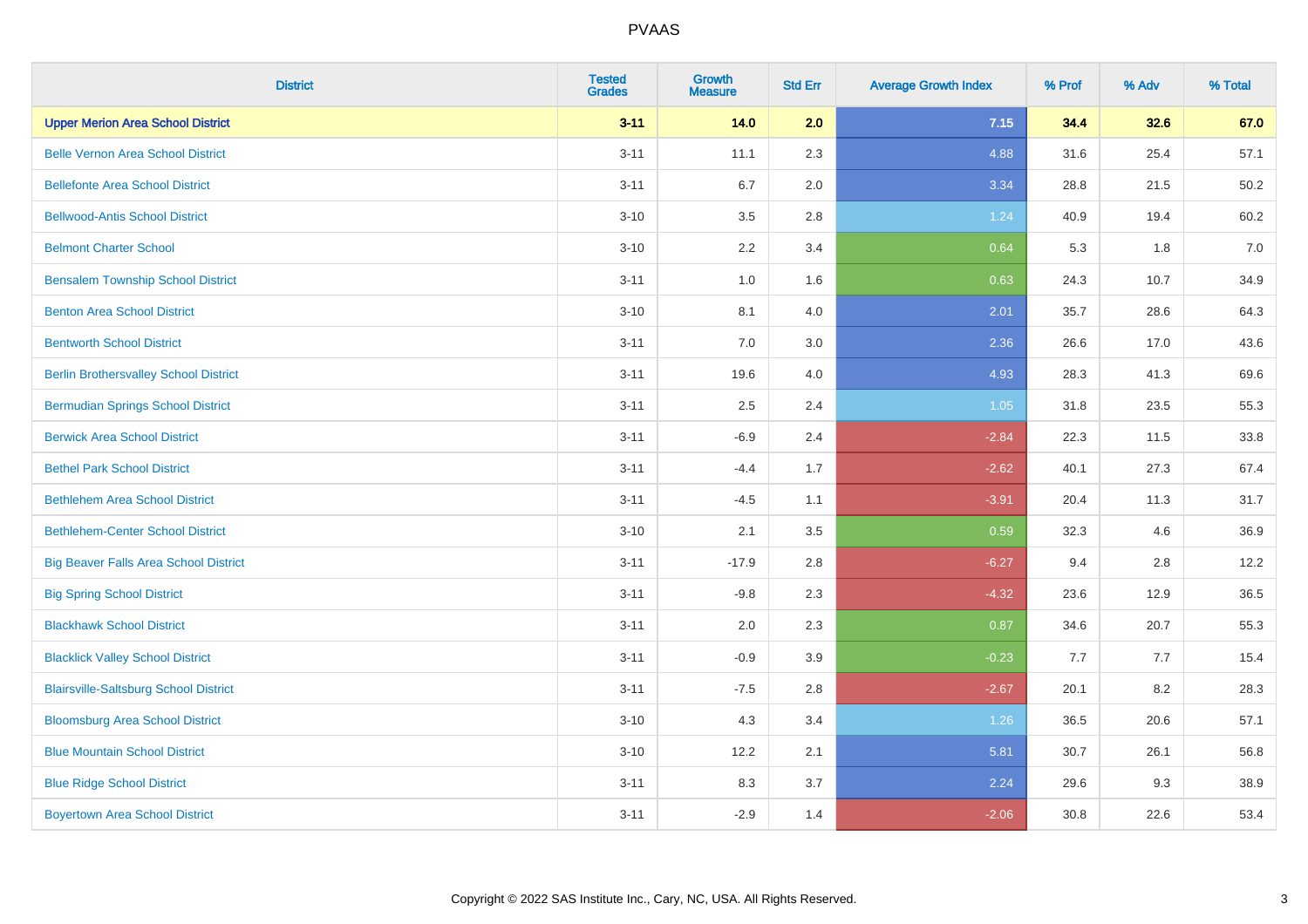| <b>District</b>                              | <b>Tested</b><br><b>Grades</b> | <b>Growth</b><br><b>Measure</b> | <b>Std Err</b> | <b>Average Growth Index</b> | % Prof | % Adv | % Total |
|----------------------------------------------|--------------------------------|---------------------------------|----------------|-----------------------------|--------|-------|---------|
| <b>Upper Merion Area School District</b>     | $3 - 11$                       | 14.0                            | 2.0            | 7.15                        | 34.4   | 32.6  | 67.0    |
| <b>Belle Vernon Area School District</b>     | $3 - 11$                       | 11.1                            | 2.3            | 4.88                        | 31.6   | 25.4  | 57.1    |
| <b>Bellefonte Area School District</b>       | $3 - 11$                       | 6.7                             | 2.0            | 3.34                        | 28.8   | 21.5  | 50.2    |
| <b>Bellwood-Antis School District</b>        | $3 - 10$                       | 3.5                             | 2.8            | 1.24                        | 40.9   | 19.4  | 60.2    |
| <b>Belmont Charter School</b>                | $3 - 10$                       | 2.2                             | 3.4            | 0.64                        | 5.3    | 1.8   | 7.0     |
| <b>Bensalem Township School District</b>     | $3 - 11$                       | 1.0                             | 1.6            | 0.63                        | 24.3   | 10.7  | 34.9    |
| <b>Benton Area School District</b>           | $3 - 10$                       | 8.1                             | 4.0            | 2.01                        | 35.7   | 28.6  | 64.3    |
| <b>Bentworth School District</b>             | $3 - 11$                       | 7.0                             | 3.0            | 2.36                        | 26.6   | 17.0  | 43.6    |
| <b>Berlin Brothersvalley School District</b> | $3 - 11$                       | 19.6                            | 4.0            | 4.93                        | 28.3   | 41.3  | 69.6    |
| <b>Bermudian Springs School District</b>     | $3 - 11$                       | 2.5                             | 2.4            | 1.05                        | 31.8   | 23.5  | 55.3    |
| <b>Berwick Area School District</b>          | $3 - 11$                       | $-6.9$                          | 2.4            | $-2.84$                     | 22.3   | 11.5  | 33.8    |
| <b>Bethel Park School District</b>           | $3 - 11$                       | $-4.4$                          | 1.7            | $-2.62$                     | 40.1   | 27.3  | 67.4    |
| <b>Bethlehem Area School District</b>        | $3 - 11$                       | $-4.5$                          | 1.1            | $-3.91$                     | 20.4   | 11.3  | 31.7    |
| <b>Bethlehem-Center School District</b>      | $3 - 10$                       | 2.1                             | 3.5            | 0.59                        | 32.3   | 4.6   | 36.9    |
| <b>Big Beaver Falls Area School District</b> | $3 - 11$                       | $-17.9$                         | 2.8            | $-6.27$                     | 9.4    | 2.8   | 12.2    |
| <b>Big Spring School District</b>            | $3 - 11$                       | $-9.8$                          | 2.3            | $-4.32$                     | 23.6   | 12.9  | 36.5    |
| <b>Blackhawk School District</b>             | $3 - 11$                       | 2.0                             | 2.3            | 0.87                        | 34.6   | 20.7  | 55.3    |
| <b>Blacklick Valley School District</b>      | $3 - 11$                       | $-0.9$                          | 3.9            | $-0.23$                     | 7.7    | 7.7   | 15.4    |
| <b>Blairsville-Saltsburg School District</b> | $3 - 11$                       | $-7.5$                          | 2.8            | $-2.67$                     | 20.1   | 8.2   | 28.3    |
| <b>Bloomsburg Area School District</b>       | $3 - 10$                       | 4.3                             | 3.4            | 1.26                        | 36.5   | 20.6  | 57.1    |
| <b>Blue Mountain School District</b>         | $3 - 10$                       | 12.2                            | 2.1            | 5.81                        | 30.7   | 26.1  | 56.8    |
| <b>Blue Ridge School District</b>            | $3 - 11$                       | 8.3                             | 3.7            | 2.24                        | 29.6   | 9.3   | 38.9    |
| <b>Boyertown Area School District</b>        | $3 - 11$                       | $-2.9$                          | 1.4            | $-2.06$                     | 30.8   | 22.6  | 53.4    |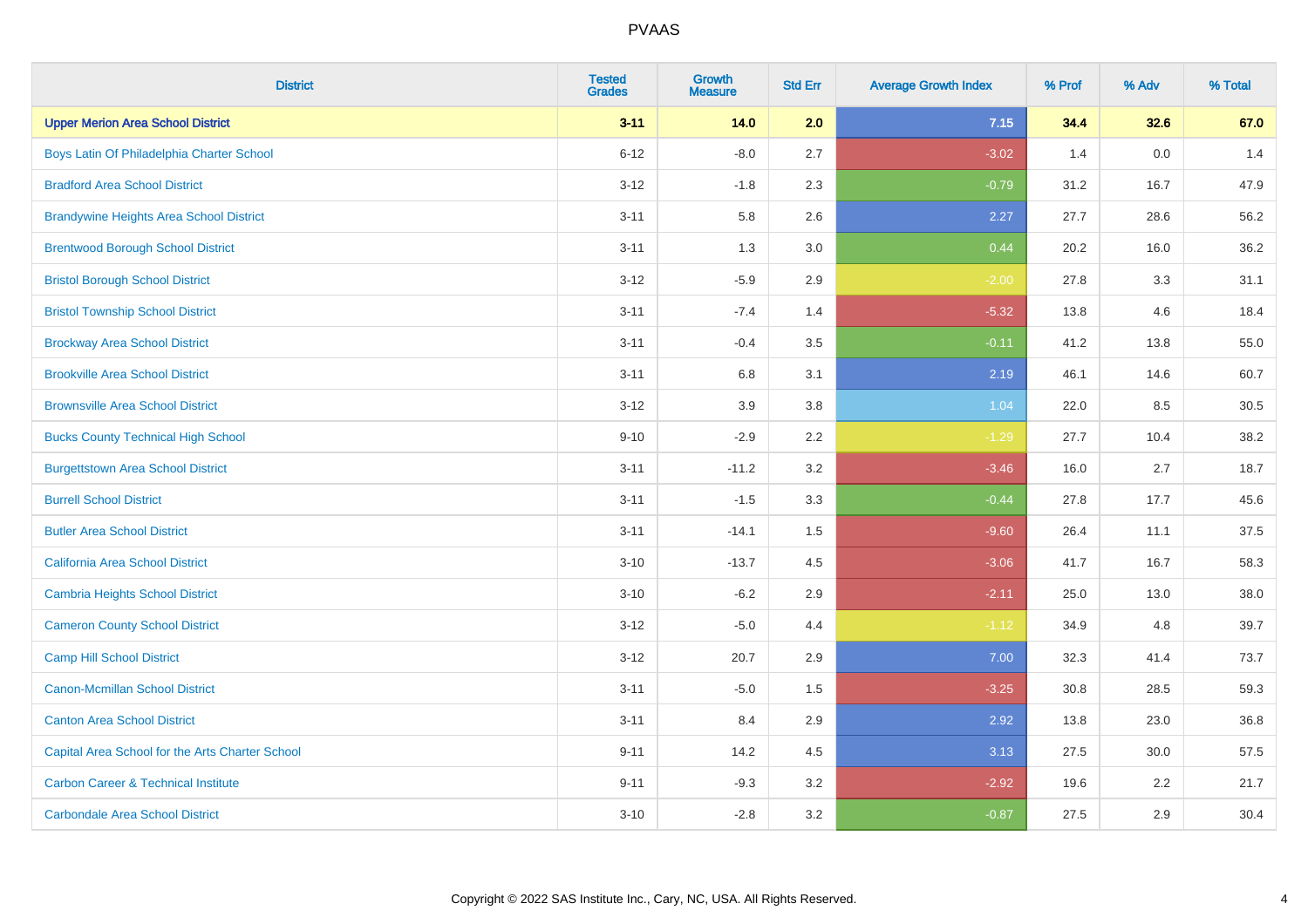| <b>District</b>                                 | <b>Tested</b><br><b>Grades</b> | <b>Growth</b><br><b>Measure</b> | <b>Std Err</b> | <b>Average Growth Index</b> | % Prof | % Adv | % Total |
|-------------------------------------------------|--------------------------------|---------------------------------|----------------|-----------------------------|--------|-------|---------|
| <b>Upper Merion Area School District</b>        | $3 - 11$                       | 14.0                            | 2.0            | 7.15                        | 34.4   | 32.6  | 67.0    |
| Boys Latin Of Philadelphia Charter School       | $6 - 12$                       | $-8.0$                          | 2.7            | $-3.02$                     | 1.4    | 0.0   | 1.4     |
| <b>Bradford Area School District</b>            | $3 - 12$                       | $-1.8$                          | 2.3            | $-0.79$                     | 31.2   | 16.7  | 47.9    |
| <b>Brandywine Heights Area School District</b>  | $3 - 11$                       | 5.8                             | 2.6            | 2.27                        | 27.7   | 28.6  | 56.2    |
| <b>Brentwood Borough School District</b>        | $3 - 11$                       | 1.3                             | 3.0            | 0.44                        | 20.2   | 16.0  | 36.2    |
| <b>Bristol Borough School District</b>          | $3 - 12$                       | $-5.9$                          | 2.9            | $-2.00$                     | 27.8   | 3.3   | 31.1    |
| <b>Bristol Township School District</b>         | $3 - 11$                       | $-7.4$                          | 1.4            | $-5.32$                     | 13.8   | 4.6   | 18.4    |
| <b>Brockway Area School District</b>            | $3 - 11$                       | $-0.4$                          | 3.5            | $-0.11$                     | 41.2   | 13.8  | 55.0    |
| <b>Brookville Area School District</b>          | $3 - 11$                       | $6.8\,$                         | 3.1            | 2.19                        | 46.1   | 14.6  | 60.7    |
| <b>Brownsville Area School District</b>         | $3 - 12$                       | 3.9                             | 3.8            | 1.04                        | 22.0   | 8.5   | 30.5    |
| <b>Bucks County Technical High School</b>       | $9 - 10$                       | $-2.9$                          | 2.2            | $-1.29$                     | 27.7   | 10.4  | 38.2    |
| <b>Burgettstown Area School District</b>        | $3 - 11$                       | $-11.2$                         | 3.2            | $-3.46$                     | 16.0   | 2.7   | 18.7    |
| <b>Burrell School District</b>                  | $3 - 11$                       | $-1.5$                          | 3.3            | $-0.44$                     | 27.8   | 17.7  | 45.6    |
| <b>Butler Area School District</b>              | $3 - 11$                       | $-14.1$                         | 1.5            | $-9.60$                     | 26.4   | 11.1  | 37.5    |
| <b>California Area School District</b>          | $3 - 10$                       | $-13.7$                         | 4.5            | $-3.06$                     | 41.7   | 16.7  | 58.3    |
| <b>Cambria Heights School District</b>          | $3 - 10$                       | $-6.2$                          | 2.9            | $-2.11$                     | 25.0   | 13.0  | 38.0    |
| <b>Cameron County School District</b>           | $3 - 12$                       | $-5.0$                          | 4.4            | $-1.12$                     | 34.9   | 4.8   | 39.7    |
| <b>Camp Hill School District</b>                | $3 - 12$                       | 20.7                            | 2.9            | 7.00                        | 32.3   | 41.4  | 73.7    |
| <b>Canon-Mcmillan School District</b>           | $3 - 11$                       | $-5.0$                          | 1.5            | $-3.25$                     | 30.8   | 28.5  | 59.3    |
| <b>Canton Area School District</b>              | $3 - 11$                       | 8.4                             | 2.9            | 2.92                        | 13.8   | 23.0  | 36.8    |
| Capital Area School for the Arts Charter School | $9 - 11$                       | 14.2                            | 4.5            | 3.13                        | 27.5   | 30.0  | 57.5    |
| <b>Carbon Career &amp; Technical Institute</b>  | $9 - 11$                       | $-9.3$                          | 3.2            | $-2.92$                     | 19.6   | 2.2   | 21.7    |
| <b>Carbondale Area School District</b>          | $3 - 10$                       | $-2.8$                          | 3.2            | $-0.87$                     | 27.5   | 2.9   | 30.4    |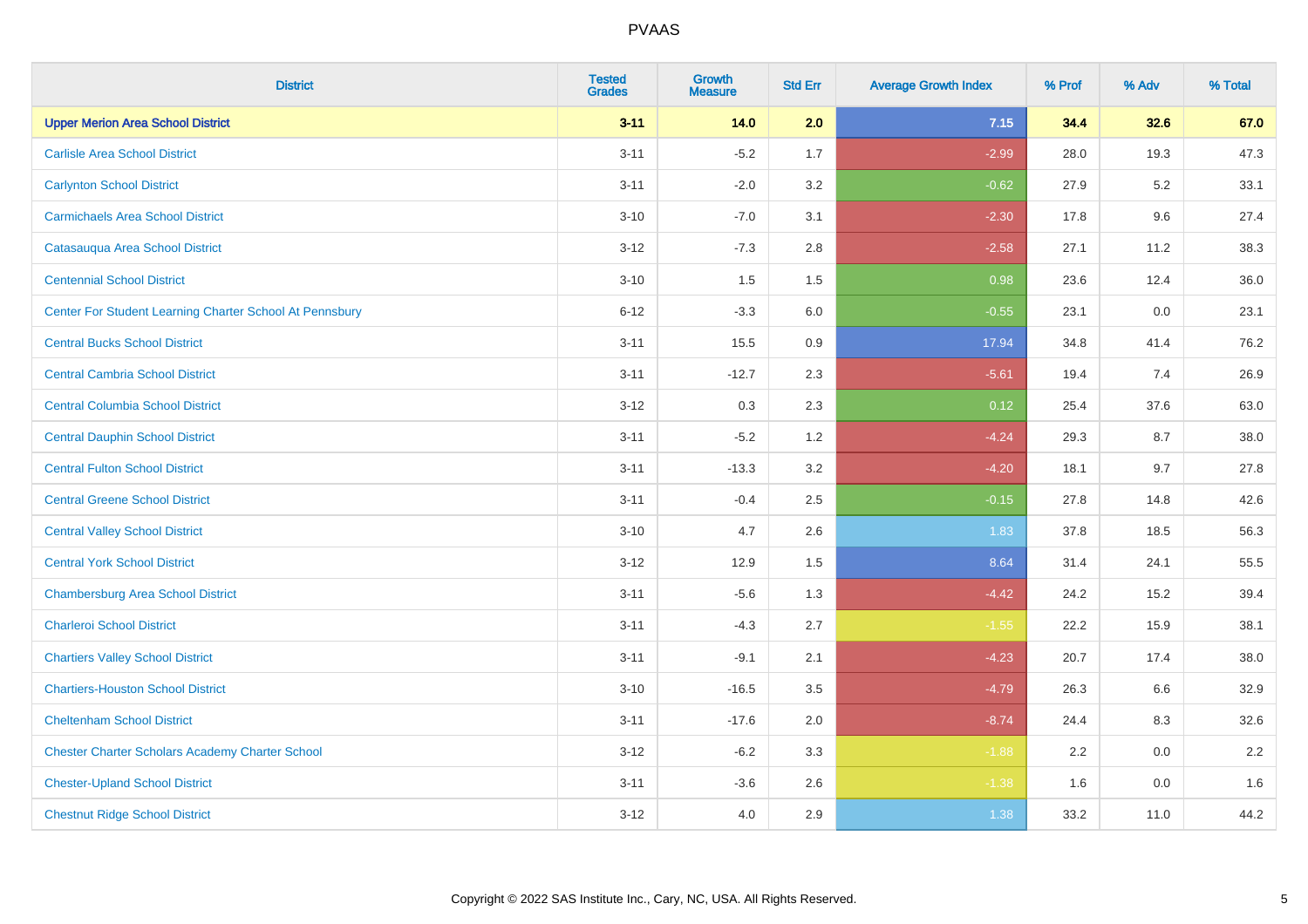| <b>District</b>                                         | <b>Tested</b><br><b>Grades</b> | <b>Growth</b><br><b>Measure</b> | <b>Std Err</b> | <b>Average Growth Index</b> | % Prof | % Adv | % Total |
|---------------------------------------------------------|--------------------------------|---------------------------------|----------------|-----------------------------|--------|-------|---------|
| <b>Upper Merion Area School District</b>                | $3 - 11$                       | 14.0                            | 2.0            | 7.15                        | 34.4   | 32.6  | 67.0    |
| <b>Carlisle Area School District</b>                    | $3 - 11$                       | $-5.2$                          | 1.7            | $-2.99$                     | 28.0   | 19.3  | 47.3    |
| <b>Carlynton School District</b>                        | $3 - 11$                       | $-2.0$                          | 3.2            | $-0.62$                     | 27.9   | 5.2   | 33.1    |
| <b>Carmichaels Area School District</b>                 | $3 - 10$                       | $-7.0$                          | 3.1            | $-2.30$                     | 17.8   | 9.6   | 27.4    |
| Catasauqua Area School District                         | $3 - 12$                       | $-7.3$                          | 2.8            | $-2.58$                     | 27.1   | 11.2  | 38.3    |
| <b>Centennial School District</b>                       | $3 - 10$                       | 1.5                             | 1.5            | 0.98                        | 23.6   | 12.4  | 36.0    |
| Center For Student Learning Charter School At Pennsbury | $6 - 12$                       | $-3.3$                          | 6.0            | $-0.55$                     | 23.1   | 0.0   | 23.1    |
| <b>Central Bucks School District</b>                    | $3 - 11$                       | 15.5                            | 0.9            | 17.94                       | 34.8   | 41.4  | 76.2    |
| <b>Central Cambria School District</b>                  | $3 - 11$                       | $-12.7$                         | 2.3            | $-5.61$                     | 19.4   | 7.4   | 26.9    |
| <b>Central Columbia School District</b>                 | $3 - 12$                       | $0.3\,$                         | 2.3            | 0.12                        | 25.4   | 37.6  | 63.0    |
| <b>Central Dauphin School District</b>                  | $3 - 11$                       | $-5.2$                          | 1.2            | $-4.24$                     | 29.3   | 8.7   | 38.0    |
| <b>Central Fulton School District</b>                   | $3 - 11$                       | $-13.3$                         | 3.2            | $-4.20$                     | 18.1   | 9.7   | 27.8    |
| <b>Central Greene School District</b>                   | $3 - 11$                       | $-0.4$                          | 2.5            | $-0.15$                     | 27.8   | 14.8  | 42.6    |
| <b>Central Valley School District</b>                   | $3 - 10$                       | 4.7                             | 2.6            | 1.83                        | 37.8   | 18.5  | 56.3    |
| <b>Central York School District</b>                     | $3 - 12$                       | 12.9                            | 1.5            | 8.64                        | 31.4   | 24.1  | 55.5    |
| <b>Chambersburg Area School District</b>                | $3 - 11$                       | $-5.6$                          | 1.3            | $-4.42$                     | 24.2   | 15.2  | 39.4    |
| <b>Charleroi School District</b>                        | $3 - 11$                       | $-4.3$                          | 2.7            | $-1.55$                     | 22.2   | 15.9  | 38.1    |
| <b>Chartiers Valley School District</b>                 | $3 - 11$                       | $-9.1$                          | 2.1            | $-4.23$                     | 20.7   | 17.4  | 38.0    |
| <b>Chartiers-Houston School District</b>                | $3 - 10$                       | $-16.5$                         | $3.5\,$        | $-4.79$                     | 26.3   | 6.6   | 32.9    |
| <b>Cheltenham School District</b>                       | $3 - 11$                       | $-17.6$                         | 2.0            | $-8.74$                     | 24.4   | 8.3   | 32.6    |
| <b>Chester Charter Scholars Academy Charter School</b>  | $3 - 12$                       | $-6.2$                          | 3.3            | $-1.88$                     | 2.2    | 0.0   | 2.2     |
| <b>Chester-Upland School District</b>                   | $3 - 11$                       | $-3.6$                          | 2.6            | $-1.38$                     | 1.6    | 0.0   | 1.6     |
| <b>Chestnut Ridge School District</b>                   | $3-12$                         | 4.0                             | 2.9            | 1.38                        | 33.2   | 11.0  | 44.2    |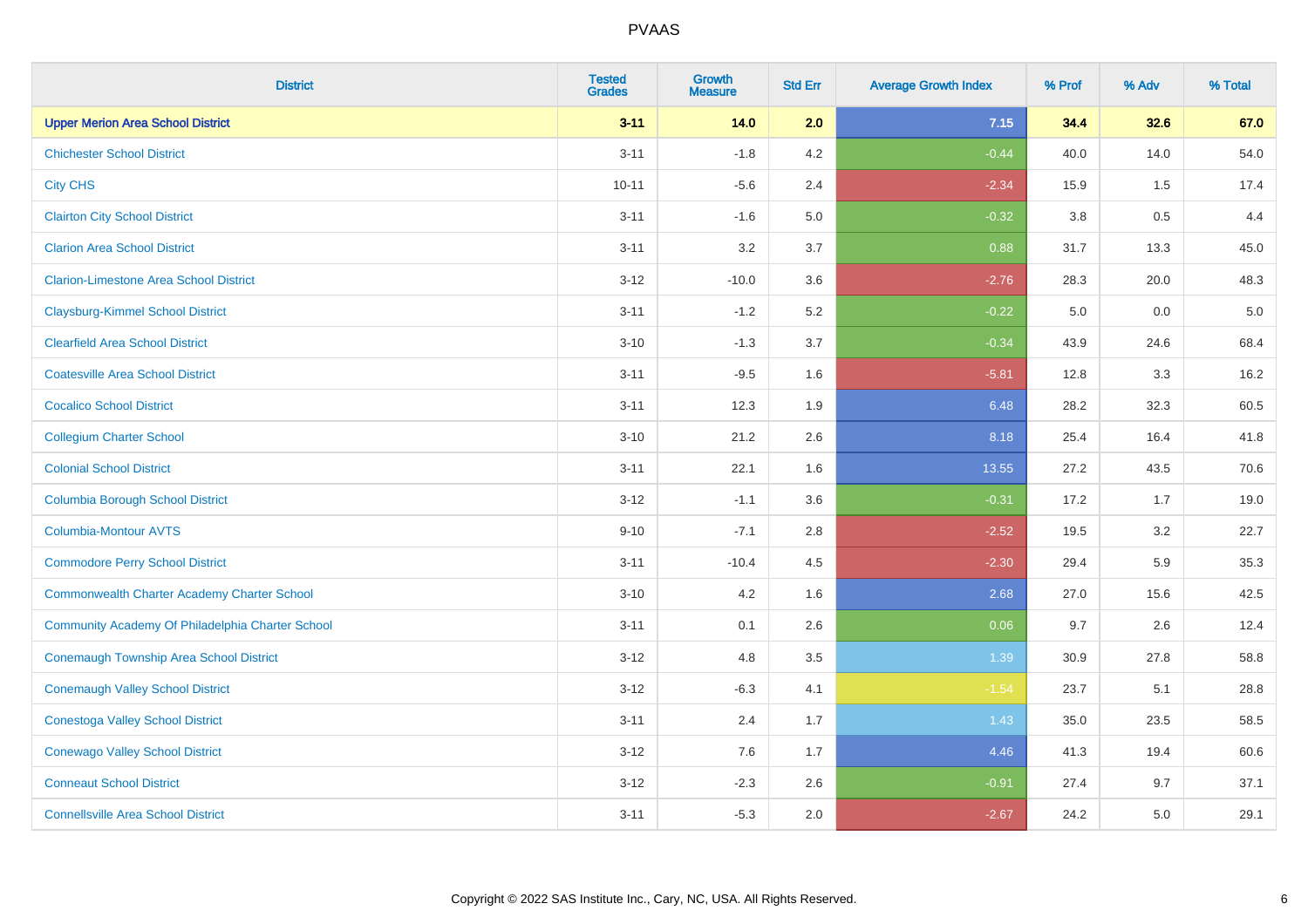| <b>District</b>                                    | <b>Tested</b><br><b>Grades</b> | Growth<br><b>Measure</b> | <b>Std Err</b> | <b>Average Growth Index</b> | % Prof | % Adv   | % Total |
|----------------------------------------------------|--------------------------------|--------------------------|----------------|-----------------------------|--------|---------|---------|
| <b>Upper Merion Area School District</b>           | $3 - 11$                       | 14.0                     | 2.0            | 7.15                        | 34.4   | 32.6    | 67.0    |
| <b>Chichester School District</b>                  | $3 - 11$                       | $-1.8$                   | 4.2            | $-0.44$                     | 40.0   | 14.0    | 54.0    |
| <b>City CHS</b>                                    | $10 - 11$                      | $-5.6$                   | 2.4            | $-2.34$                     | 15.9   | 1.5     | 17.4    |
| <b>Clairton City School District</b>               | $3 - 11$                       | $-1.6$                   | 5.0            | $-0.32$                     | 3.8    | $0.5\,$ | 4.4     |
| <b>Clarion Area School District</b>                | $3 - 11$                       | 3.2                      | 3.7            | 0.88                        | 31.7   | 13.3    | 45.0    |
| <b>Clarion-Limestone Area School District</b>      | $3 - 12$                       | $-10.0$                  | 3.6            | $-2.76$                     | 28.3   | 20.0    | 48.3    |
| <b>Claysburg-Kimmel School District</b>            | $3 - 11$                       | $-1.2$                   | 5.2            | $-0.22$                     | 5.0    | 0.0     | $5.0$   |
| <b>Clearfield Area School District</b>             | $3 - 10$                       | $-1.3$                   | 3.7            | $-0.34$                     | 43.9   | 24.6    | 68.4    |
| <b>Coatesville Area School District</b>            | $3 - 11$                       | $-9.5$                   | 1.6            | $-5.81$                     | 12.8   | 3.3     | 16.2    |
| <b>Cocalico School District</b>                    | $3 - 11$                       | 12.3                     | 1.9            | 6.48                        | 28.2   | 32.3    | 60.5    |
| <b>Collegium Charter School</b>                    | $3 - 10$                       | 21.2                     | 2.6            | 8.18                        | 25.4   | 16.4    | 41.8    |
| <b>Colonial School District</b>                    | $3 - 11$                       | 22.1                     | 1.6            | 13.55                       | 27.2   | 43.5    | 70.6    |
| <b>Columbia Borough School District</b>            | $3 - 12$                       | $-1.1$                   | 3.6            | $-0.31$                     | 17.2   | 1.7     | 19.0    |
| Columbia-Montour AVTS                              | $9 - 10$                       | $-7.1$                   | 2.8            | $-2.52$                     | 19.5   | 3.2     | 22.7    |
| <b>Commodore Perry School District</b>             | $3 - 11$                       | $-10.4$                  | 4.5            | $-2.30$                     | 29.4   | 5.9     | 35.3    |
| <b>Commonwealth Charter Academy Charter School</b> | $3 - 10$                       | 4.2                      | 1.6            | 2.68                        | 27.0   | 15.6    | 42.5    |
| Community Academy Of Philadelphia Charter School   | $3 - 11$                       | 0.1                      | 2.6            | 0.06                        | 9.7    | 2.6     | 12.4    |
| <b>Conemaugh Township Area School District</b>     | $3 - 12$                       | 4.8                      | 3.5            | 1.39                        | 30.9   | 27.8    | 58.8    |
| <b>Conemaugh Valley School District</b>            | $3 - 12$                       | $-6.3$                   | 4.1            | $-1.54$                     | 23.7   | 5.1     | 28.8    |
| <b>Conestoga Valley School District</b>            | $3 - 11$                       | 2.4                      | 1.7            | 1.43                        | 35.0   | 23.5    | 58.5    |
| <b>Conewago Valley School District</b>             | $3 - 12$                       | 7.6                      | 1.7            | 4.46                        | 41.3   | 19.4    | 60.6    |
| <b>Conneaut School District</b>                    | $3 - 12$                       | $-2.3$                   | 2.6            | $-0.91$                     | 27.4   | 9.7     | 37.1    |
| <b>Connellsville Area School District</b>          | $3 - 11$                       | $-5.3$                   | 2.0            | $-2.67$                     | 24.2   | 5.0     | 29.1    |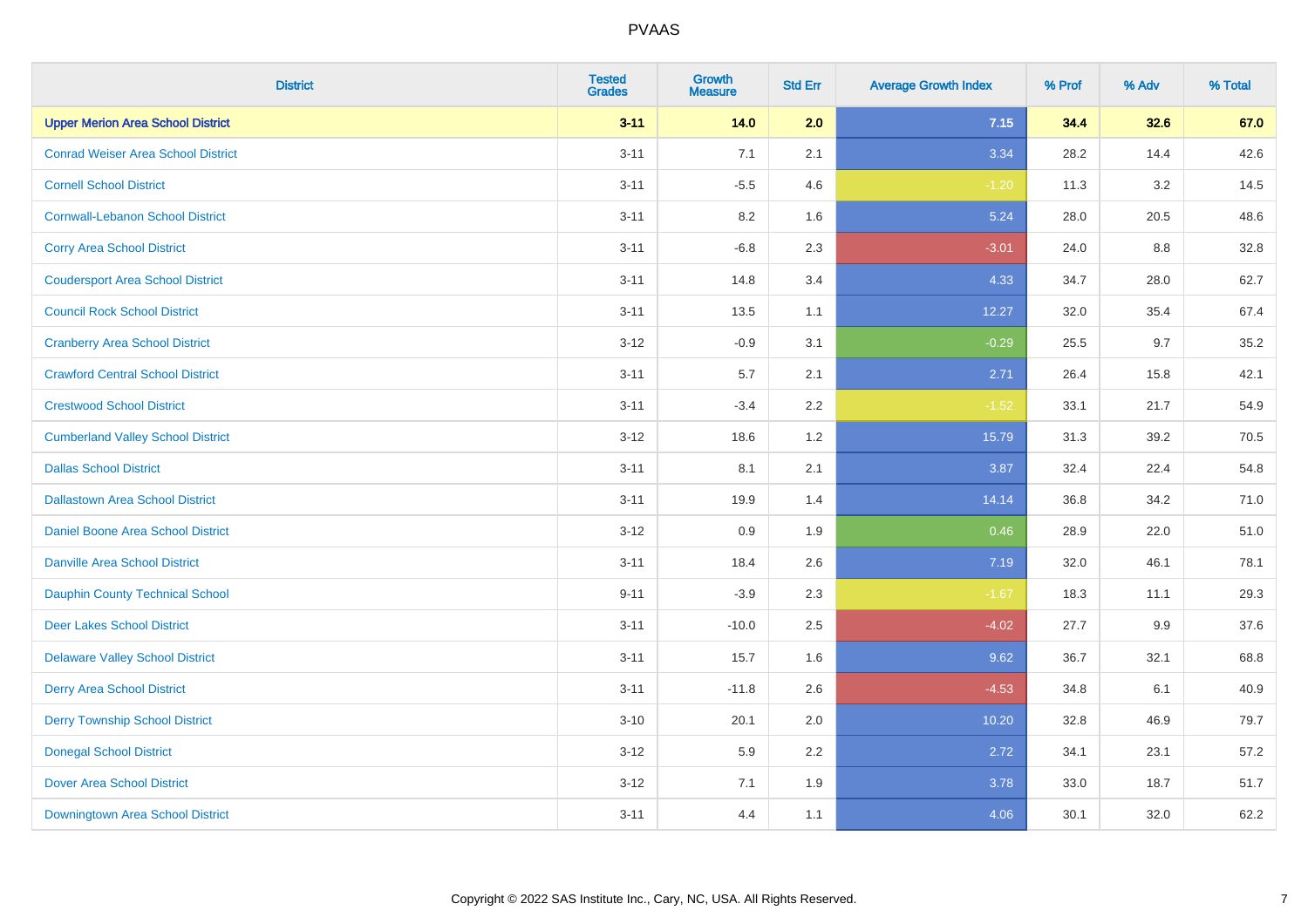| <b>District</b>                           | <b>Tested</b><br><b>Grades</b> | <b>Growth</b><br><b>Measure</b> | <b>Std Err</b> | <b>Average Growth Index</b> | % Prof | % Adv | % Total |
|-------------------------------------------|--------------------------------|---------------------------------|----------------|-----------------------------|--------|-------|---------|
| <b>Upper Merion Area School District</b>  | $3 - 11$                       | 14.0                            | 2.0            | 7.15                        | 34.4   | 32.6  | 67.0    |
| <b>Conrad Weiser Area School District</b> | $3 - 11$                       | 7.1                             | 2.1            | 3.34                        | 28.2   | 14.4  | 42.6    |
| <b>Cornell School District</b>            | $3 - 11$                       | $-5.5$                          | 4.6            | $-1.20$                     | 11.3   | 3.2   | 14.5    |
| <b>Cornwall-Lebanon School District</b>   | $3 - 11$                       | 8.2                             | 1.6            | 5.24                        | 28.0   | 20.5  | 48.6    |
| <b>Corry Area School District</b>         | $3 - 11$                       | $-6.8$                          | 2.3            | $-3.01$                     | 24.0   | 8.8   | 32.8    |
| <b>Coudersport Area School District</b>   | $3 - 11$                       | 14.8                            | 3.4            | 4.33                        | 34.7   | 28.0  | 62.7    |
| <b>Council Rock School District</b>       | $3 - 11$                       | 13.5                            | 1.1            | 12.27                       | 32.0   | 35.4  | 67.4    |
| <b>Cranberry Area School District</b>     | $3 - 12$                       | $-0.9$                          | 3.1            | $-0.29$                     | 25.5   | 9.7   | 35.2    |
| <b>Crawford Central School District</b>   | $3 - 11$                       | 5.7                             | 2.1            | 2.71                        | 26.4   | 15.8  | 42.1    |
| <b>Crestwood School District</b>          | $3 - 11$                       | $-3.4$                          | 2.2            | $-1.52$                     | 33.1   | 21.7  | 54.9    |
| <b>Cumberland Valley School District</b>  | $3 - 12$                       | 18.6                            | 1.2            | 15.79                       | 31.3   | 39.2  | 70.5    |
| <b>Dallas School District</b>             | $3 - 11$                       | 8.1                             | 2.1            | 3.87                        | 32.4   | 22.4  | 54.8    |
| <b>Dallastown Area School District</b>    | $3 - 11$                       | 19.9                            | 1.4            | 14.14                       | 36.8   | 34.2  | 71.0    |
| <b>Daniel Boone Area School District</b>  | $3-12$                         | 0.9                             | 1.9            | 0.46                        | 28.9   | 22.0  | 51.0    |
| <b>Danville Area School District</b>      | $3 - 11$                       | 18.4                            | 2.6            | 7.19                        | 32.0   | 46.1  | 78.1    |
| <b>Dauphin County Technical School</b>    | $9 - 11$                       | $-3.9$                          | 2.3            | $-1.67$                     | 18.3   | 11.1  | 29.3    |
| <b>Deer Lakes School District</b>         | $3 - 11$                       | $-10.0$                         | 2.5            | $-4.02$                     | 27.7   | 9.9   | 37.6    |
| <b>Delaware Valley School District</b>    | $3 - 11$                       | 15.7                            | 1.6            | 9.62                        | 36.7   | 32.1  | 68.8    |
| <b>Derry Area School District</b>         | $3 - 11$                       | $-11.8$                         | 2.6            | $-4.53$                     | 34.8   | 6.1   | 40.9    |
| <b>Derry Township School District</b>     | $3 - 10$                       | 20.1                            | 2.0            | 10.20                       | 32.8   | 46.9  | 79.7    |
| <b>Donegal School District</b>            | $3-12$                         | 5.9                             | 2.2            | 2.72                        | 34.1   | 23.1  | 57.2    |
| <b>Dover Area School District</b>         | $3 - 12$                       | 7.1                             | 1.9            | 3.78                        | 33.0   | 18.7  | 51.7    |
| <b>Downingtown Area School District</b>   | $3 - 11$                       | 4.4                             | 1.1            | 4.06                        | 30.1   | 32.0  | 62.2    |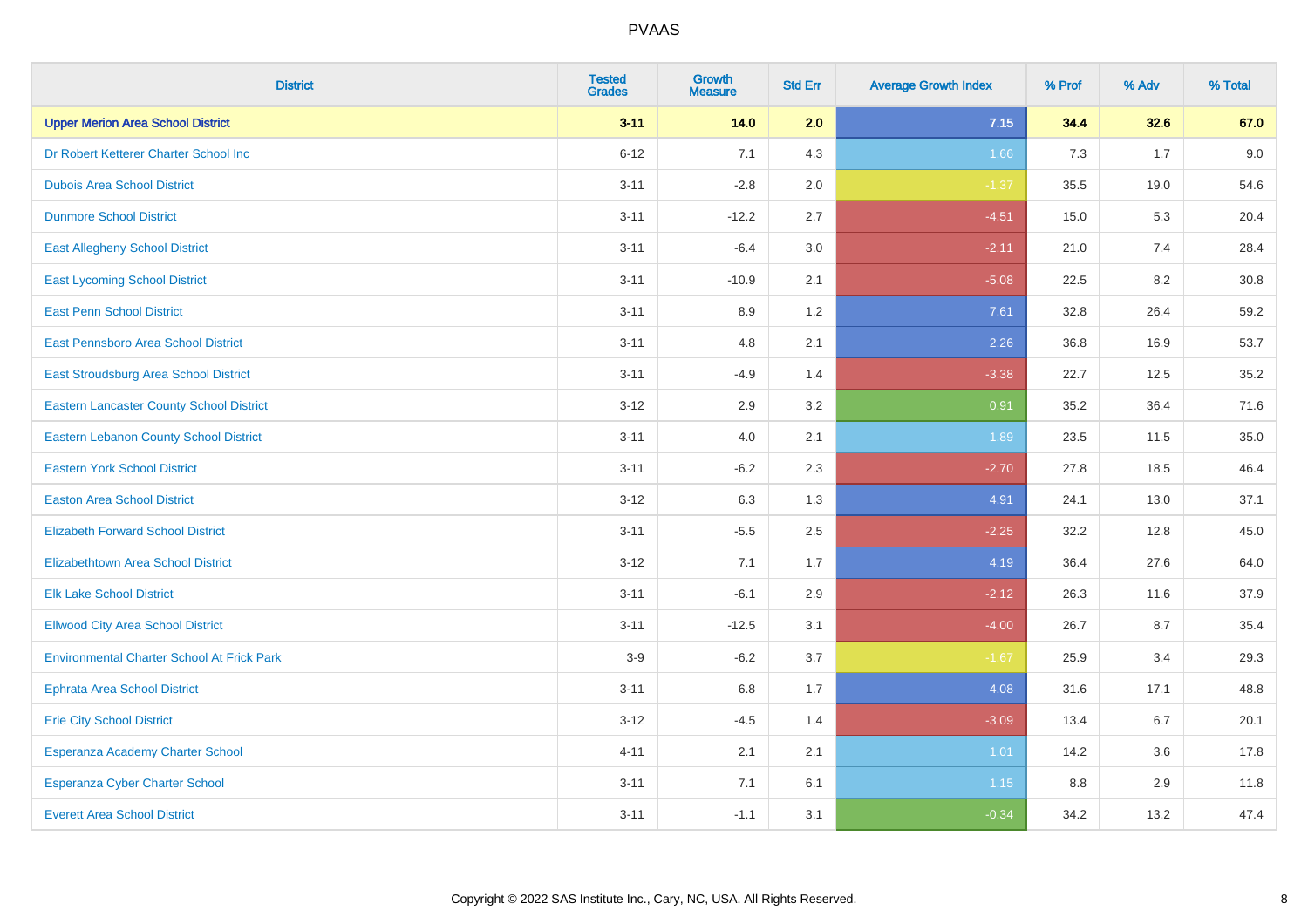| <b>District</b>                                   | <b>Tested</b><br><b>Grades</b> | <b>Growth</b><br><b>Measure</b> | <b>Std Err</b> | <b>Average Growth Index</b> | % Prof | % Adv | % Total |
|---------------------------------------------------|--------------------------------|---------------------------------|----------------|-----------------------------|--------|-------|---------|
| <b>Upper Merion Area School District</b>          | $3 - 11$                       | 14.0                            | 2.0            | 7.15                        | 34.4   | 32.6  | 67.0    |
| Dr Robert Ketterer Charter School Inc             | $6 - 12$                       | 7.1                             | 4.3            | 1.66                        | 7.3    | 1.7   | 9.0     |
| <b>Dubois Area School District</b>                | $3 - 11$                       | $-2.8$                          | 2.0            | $-1.37$                     | 35.5   | 19.0  | 54.6    |
| <b>Dunmore School District</b>                    | $3 - 11$                       | $-12.2$                         | 2.7            | $-4.51$                     | 15.0   | 5.3   | 20.4    |
| <b>East Allegheny School District</b>             | $3 - 11$                       | $-6.4$                          | 3.0            | $-2.11$                     | 21.0   | 7.4   | 28.4    |
| <b>East Lycoming School District</b>              | $3 - 11$                       | $-10.9$                         | 2.1            | $-5.08$                     | 22.5   | 8.2   | 30.8    |
| <b>East Penn School District</b>                  | $3 - 11$                       | 8.9                             | 1.2            | 7.61                        | 32.8   | 26.4  | 59.2    |
| East Pennsboro Area School District               | $3 - 11$                       | 4.8                             | 2.1            | 2.26                        | 36.8   | 16.9  | 53.7    |
| East Stroudsburg Area School District             | $3 - 11$                       | $-4.9$                          | 1.4            | $-3.38$                     | 22.7   | 12.5  | 35.2    |
| <b>Eastern Lancaster County School District</b>   | $3 - 12$                       | 2.9                             | 3.2            | 0.91                        | 35.2   | 36.4  | 71.6    |
| <b>Eastern Lebanon County School District</b>     | $3 - 11$                       | 4.0                             | 2.1            | 1.89                        | 23.5   | 11.5  | 35.0    |
| <b>Eastern York School District</b>               | $3 - 11$                       | $-6.2$                          | 2.3            | $-2.70$                     | 27.8   | 18.5  | 46.4    |
| <b>Easton Area School District</b>                | $3 - 12$                       | 6.3                             | 1.3            | 4.91                        | 24.1   | 13.0  | 37.1    |
| <b>Elizabeth Forward School District</b>          | $3 - 11$                       | $-5.5$                          | 2.5            | $-2.25$                     | 32.2   | 12.8  | 45.0    |
| <b>Elizabethtown Area School District</b>         | $3 - 12$                       | 7.1                             | 1.7            | 4.19                        | 36.4   | 27.6  | 64.0    |
| <b>Elk Lake School District</b>                   | $3 - 11$                       | $-6.1$                          | 2.9            | $-2.12$                     | 26.3   | 11.6  | 37.9    |
| <b>Ellwood City Area School District</b>          | $3 - 11$                       | $-12.5$                         | 3.1            | $-4.00$                     | 26.7   | 8.7   | 35.4    |
| <b>Environmental Charter School At Frick Park</b> | $3-9$                          | $-6.2$                          | 3.7            | $-1.67$                     | 25.9   | 3.4   | 29.3    |
| <b>Ephrata Area School District</b>               | $3 - 11$                       | $6.8\,$                         | 1.7            | 4.08                        | 31.6   | 17.1  | 48.8    |
| <b>Erie City School District</b>                  | $3 - 12$                       | $-4.5$                          | 1.4            | $-3.09$                     | 13.4   | 6.7   | 20.1    |
| Esperanza Academy Charter School                  | $4 - 11$                       | 2.1                             | 2.1            | 1.01                        | 14.2   | 3.6   | 17.8    |
| <b>Esperanza Cyber Charter School</b>             | $3 - 11$                       | 7.1                             | 6.1            | 1.15                        | 8.8    | 2.9   | 11.8    |
| <b>Everett Area School District</b>               | $3 - 11$                       | $-1.1$                          | 3.1            | $-0.34$                     | 34.2   | 13.2  | 47.4    |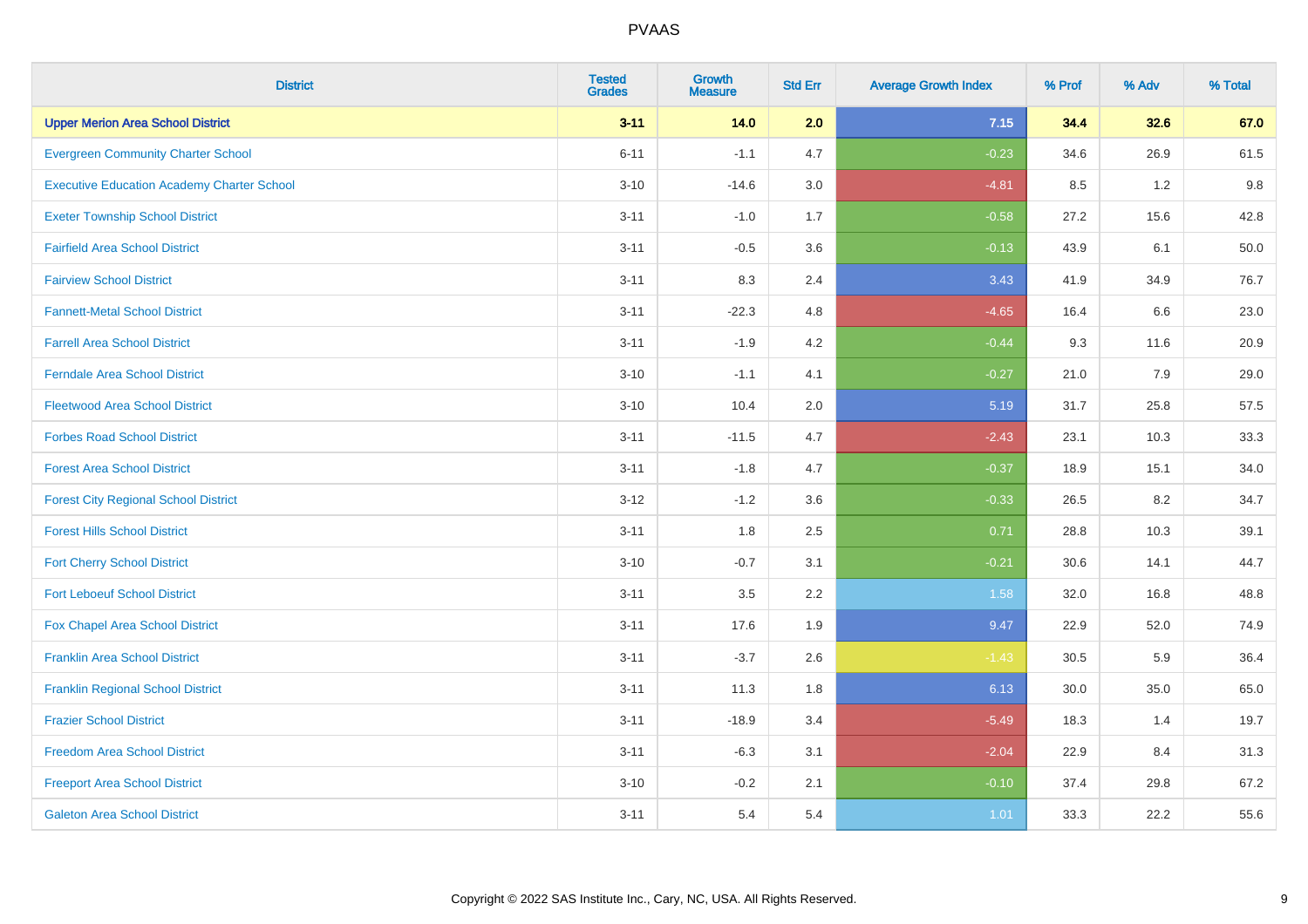| <b>District</b>                                   | <b>Tested</b><br><b>Grades</b> | <b>Growth</b><br><b>Measure</b> | <b>Std Err</b> | <b>Average Growth Index</b> | % Prof | % Adv   | % Total |
|---------------------------------------------------|--------------------------------|---------------------------------|----------------|-----------------------------|--------|---------|---------|
| <b>Upper Merion Area School District</b>          | $3 - 11$                       | 14.0                            | 2.0            | 7.15                        | 34.4   | 32.6    | 67.0    |
| <b>Evergreen Community Charter School</b>         | $6 - 11$                       | $-1.1$                          | 4.7            | $-0.23$                     | 34.6   | 26.9    | 61.5    |
| <b>Executive Education Academy Charter School</b> | $3 - 10$                       | $-14.6$                         | 3.0            | $-4.81$                     | 8.5    | 1.2     | 9.8     |
| <b>Exeter Township School District</b>            | $3 - 11$                       | $-1.0$                          | 1.7            | $-0.58$                     | 27.2   | 15.6    | 42.8    |
| <b>Fairfield Area School District</b>             | $3 - 11$                       | $-0.5$                          | 3.6            | $-0.13$                     | 43.9   | 6.1     | 50.0    |
| <b>Fairview School District</b>                   | $3 - 11$                       | 8.3                             | 2.4            | 3.43                        | 41.9   | 34.9    | 76.7    |
| <b>Fannett-Metal School District</b>              | $3 - 11$                       | $-22.3$                         | 4.8            | $-4.65$                     | 16.4   | 6.6     | 23.0    |
| <b>Farrell Area School District</b>               | $3 - 11$                       | $-1.9$                          | 4.2            | $-0.44$                     | 9.3    | 11.6    | 20.9    |
| <b>Ferndale Area School District</b>              | $3 - 10$                       | $-1.1$                          | 4.1            | $-0.27$                     | 21.0   | 7.9     | 29.0    |
| <b>Fleetwood Area School District</b>             | $3 - 10$                       | 10.4                            | 2.0            | 5.19                        | 31.7   | 25.8    | 57.5    |
| <b>Forbes Road School District</b>                | $3 - 11$                       | $-11.5$                         | 4.7            | $-2.43$                     | 23.1   | 10.3    | 33.3    |
| <b>Forest Area School District</b>                | $3 - 11$                       | $-1.8$                          | 4.7            | $-0.37$                     | 18.9   | 15.1    | 34.0    |
| <b>Forest City Regional School District</b>       | $3 - 12$                       | $-1.2$                          | 3.6            | $-0.33$                     | 26.5   | $8.2\,$ | 34.7    |
| <b>Forest Hills School District</b>               | $3 - 11$                       | 1.8                             | 2.5            | 0.71                        | 28.8   | 10.3    | 39.1    |
| <b>Fort Cherry School District</b>                | $3 - 10$                       | $-0.7$                          | 3.1            | $-0.21$                     | 30.6   | 14.1    | 44.7    |
| <b>Fort Leboeuf School District</b>               | $3 - 11$                       | 3.5                             | 2.2            | 1.58                        | 32.0   | 16.8    | 48.8    |
| Fox Chapel Area School District                   | $3 - 11$                       | 17.6                            | 1.9            | 9.47                        | 22.9   | 52.0    | 74.9    |
| <b>Franklin Area School District</b>              | $3 - 11$                       | $-3.7$                          | 2.6            | $-1.43$                     | 30.5   | 5.9     | 36.4    |
| <b>Franklin Regional School District</b>          | $3 - 11$                       | 11.3                            | 1.8            | 6.13                        | 30.0   | 35.0    | 65.0    |
| <b>Frazier School District</b>                    | $3 - 11$                       | $-18.9$                         | 3.4            | $-5.49$                     | 18.3   | 1.4     | 19.7    |
| <b>Freedom Area School District</b>               | $3 - 11$                       | $-6.3$                          | 3.1            | $-2.04$                     | 22.9   | 8.4     | 31.3    |
| <b>Freeport Area School District</b>              | $3 - 10$                       | $-0.2$                          | 2.1            | $-0.10$                     | 37.4   | 29.8    | 67.2    |
| <b>Galeton Area School District</b>               | $3 - 11$                       | 5.4                             | 5.4            | 1.01                        | 33.3   | 22.2    | 55.6    |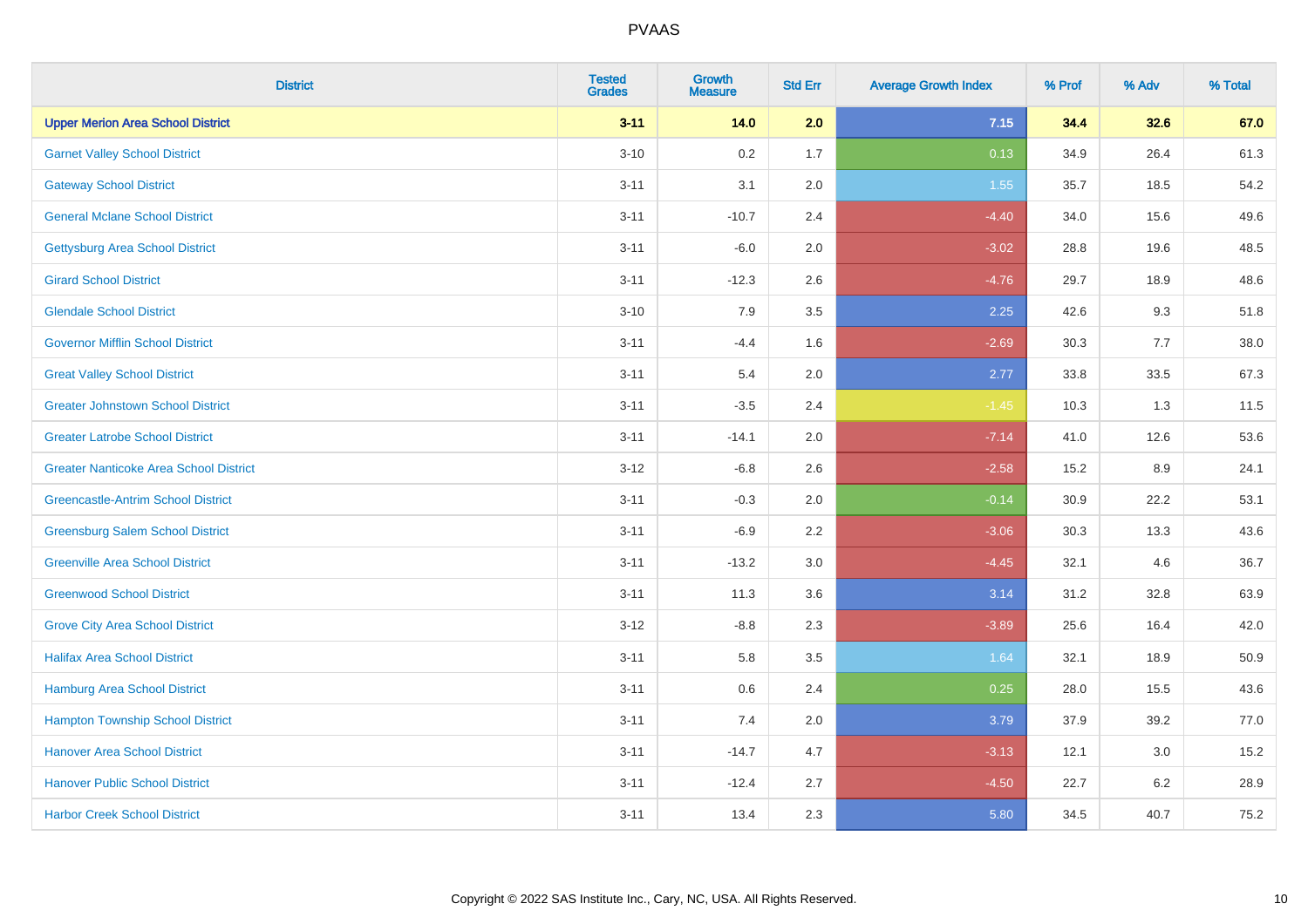| <b>District</b>                               | <b>Tested</b><br><b>Grades</b> | <b>Growth</b><br><b>Measure</b> | <b>Std Err</b> | <b>Average Growth Index</b> | % Prof | % Adv   | % Total |
|-----------------------------------------------|--------------------------------|---------------------------------|----------------|-----------------------------|--------|---------|---------|
| <b>Upper Merion Area School District</b>      | $3 - 11$                       | 14.0                            | 2.0            | 7.15                        | 34.4   | 32.6    | 67.0    |
| <b>Garnet Valley School District</b>          | $3 - 10$                       | 0.2                             | 1.7            | 0.13                        | 34.9   | 26.4    | 61.3    |
| <b>Gateway School District</b>                | $3 - 11$                       | 3.1                             | 2.0            | 1.55                        | 35.7   | 18.5    | 54.2    |
| <b>General Mclane School District</b>         | $3 - 11$                       | $-10.7$                         | 2.4            | $-4.40$                     | 34.0   | 15.6    | 49.6    |
| <b>Gettysburg Area School District</b>        | $3 - 11$                       | $-6.0$                          | 2.0            | $-3.02$                     | 28.8   | 19.6    | 48.5    |
| <b>Girard School District</b>                 | $3 - 11$                       | $-12.3$                         | 2.6            | $-4.76$                     | 29.7   | 18.9    | 48.6    |
| <b>Glendale School District</b>               | $3 - 10$                       | 7.9                             | 3.5            | 2.25                        | 42.6   | 9.3     | 51.8    |
| <b>Governor Mifflin School District</b>       | $3 - 11$                       | $-4.4$                          | 1.6            | $-2.69$                     | 30.3   | 7.7     | 38.0    |
| <b>Great Valley School District</b>           | $3 - 11$                       | 5.4                             | 2.0            | 2.77                        | 33.8   | 33.5    | 67.3    |
| <b>Greater Johnstown School District</b>      | $3 - 11$                       | $-3.5$                          | 2.4            | $-1.45$                     | 10.3   | 1.3     | 11.5    |
| <b>Greater Latrobe School District</b>        | $3 - 11$                       | $-14.1$                         | 2.0            | $-7.14$                     | 41.0   | 12.6    | 53.6    |
| <b>Greater Nanticoke Area School District</b> | $3 - 12$                       | $-6.8$                          | 2.6            | $-2.58$                     | 15.2   | 8.9     | 24.1    |
| <b>Greencastle-Antrim School District</b>     | $3 - 11$                       | $-0.3$                          | 2.0            | $-0.14$                     | 30.9   | 22.2    | 53.1    |
| <b>Greensburg Salem School District</b>       | $3 - 11$                       | $-6.9$                          | 2.2            | $-3.06$                     | 30.3   | 13.3    | 43.6    |
| <b>Greenville Area School District</b>        | $3 - 11$                       | $-13.2$                         | 3.0            | $-4.45$                     | 32.1   | 4.6     | 36.7    |
| <b>Greenwood School District</b>              | $3 - 11$                       | 11.3                            | 3.6            | 3.14                        | 31.2   | 32.8    | 63.9    |
| <b>Grove City Area School District</b>        | $3 - 12$                       | $-8.8$                          | 2.3            | $-3.89$                     | 25.6   | 16.4    | 42.0    |
| <b>Halifax Area School District</b>           | $3 - 11$                       | 5.8                             | 3.5            | 1.64                        | 32.1   | 18.9    | 50.9    |
| <b>Hamburg Area School District</b>           | $3 - 11$                       | 0.6                             | 2.4            | 0.25                        | 28.0   | 15.5    | 43.6    |
| <b>Hampton Township School District</b>       | $3 - 11$                       | 7.4                             | 2.0            | 3.79                        | 37.9   | 39.2    | 77.0    |
| <b>Hanover Area School District</b>           | $3 - 11$                       | $-14.7$                         | 4.7            | $-3.13$                     | 12.1   | 3.0     | 15.2    |
| <b>Hanover Public School District</b>         | $3 - 11$                       | $-12.4$                         | 2.7            | $-4.50$                     | 22.7   | $6.2\,$ | 28.9    |
| <b>Harbor Creek School District</b>           | $3 - 11$                       | 13.4                            | 2.3            | 5.80                        | 34.5   | 40.7    | 75.2    |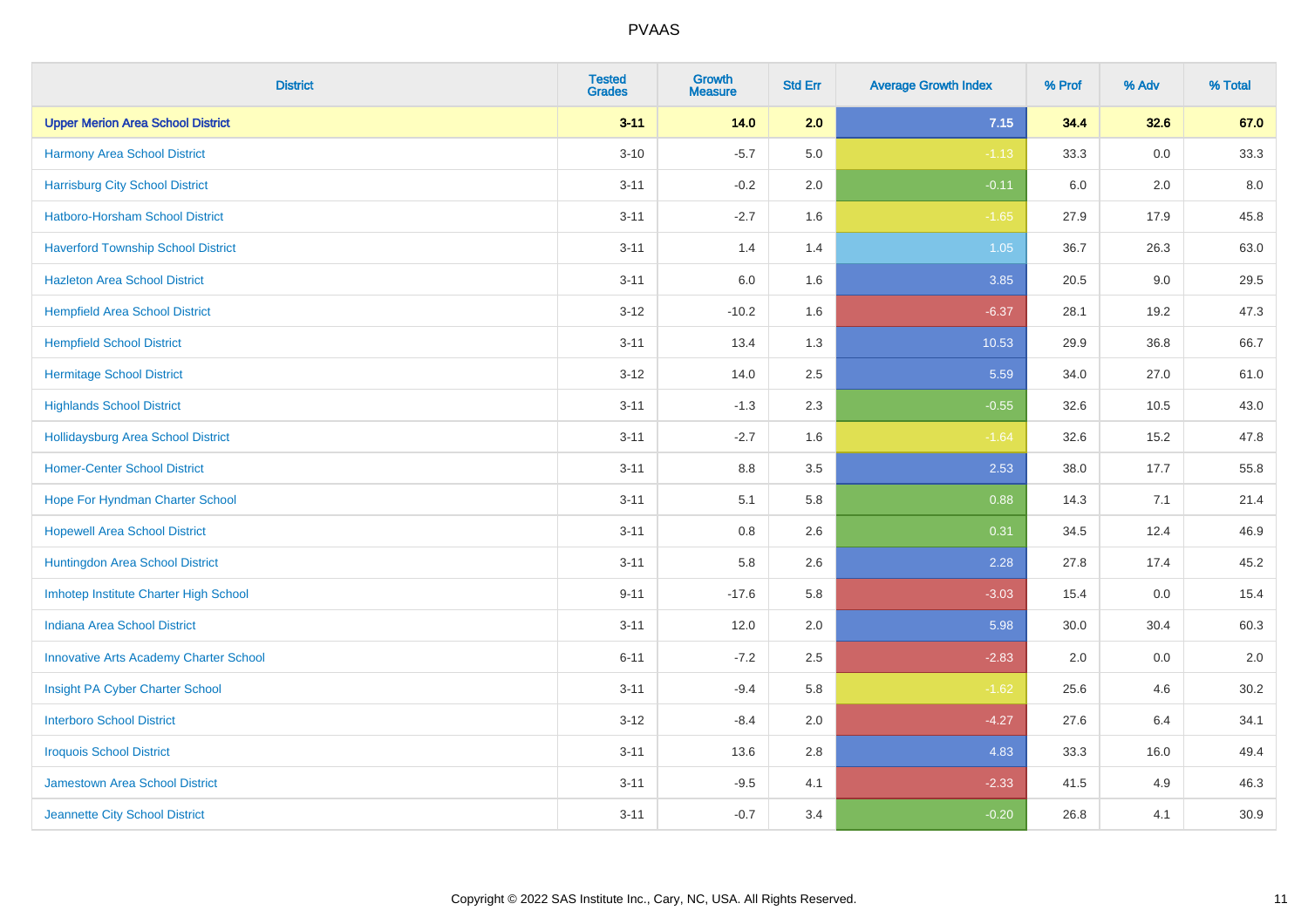| <b>District</b>                               | <b>Tested</b><br><b>Grades</b> | <b>Growth</b><br><b>Measure</b> | <b>Std Err</b> | <b>Average Growth Index</b> | % Prof | % Adv   | % Total |
|-----------------------------------------------|--------------------------------|---------------------------------|----------------|-----------------------------|--------|---------|---------|
| <b>Upper Merion Area School District</b>      | $3 - 11$                       | 14.0                            | 2.0            | 7.15                        | 34.4   | 32.6    | 67.0    |
| Harmony Area School District                  | $3 - 10$                       | $-5.7$                          | 5.0            | $-1.13$                     | 33.3   | 0.0     | 33.3    |
| <b>Harrisburg City School District</b>        | $3 - 11$                       | $-0.2$                          | 2.0            | $-0.11$                     | 6.0    | 2.0     | 8.0     |
| Hatboro-Horsham School District               | $3 - 11$                       | $-2.7$                          | 1.6            | $-1.65$                     | 27.9   | 17.9    | 45.8    |
| <b>Haverford Township School District</b>     | $3 - 11$                       | 1.4                             | 1.4            | 1.05                        | 36.7   | 26.3    | 63.0    |
| <b>Hazleton Area School District</b>          | $3 - 11$                       | 6.0                             | 1.6            | 3.85                        | 20.5   | 9.0     | 29.5    |
| <b>Hempfield Area School District</b>         | $3 - 12$                       | $-10.2$                         | 1.6            | $-6.37$                     | 28.1   | 19.2    | 47.3    |
| <b>Hempfield School District</b>              | $3 - 11$                       | 13.4                            | 1.3            | 10.53                       | 29.9   | 36.8    | 66.7    |
| <b>Hermitage School District</b>              | $3 - 12$                       | 14.0                            | 2.5            | 5.59                        | 34.0   | 27.0    | 61.0    |
| <b>Highlands School District</b>              | $3 - 11$                       | $-1.3$                          | 2.3            | $-0.55$                     | 32.6   | 10.5    | 43.0    |
| <b>Hollidaysburg Area School District</b>     | $3 - 11$                       | $-2.7$                          | 1.6            | $-1.64$                     | 32.6   | 15.2    | 47.8    |
| <b>Homer-Center School District</b>           | $3 - 11$                       | 8.8                             | 3.5            | 2.53                        | 38.0   | 17.7    | 55.8    |
| Hope For Hyndman Charter School               | $3 - 11$                       | 5.1                             | 5.8            | 0.88                        | 14.3   | 7.1     | 21.4    |
| <b>Hopewell Area School District</b>          | $3 - 11$                       | 0.8                             | 2.6            | 0.31                        | 34.5   | 12.4    | 46.9    |
| Huntingdon Area School District               | $3 - 11$                       | 5.8                             | 2.6            | 2.28                        | 27.8   | 17.4    | 45.2    |
| Imhotep Institute Charter High School         | $9 - 11$                       | $-17.6$                         | 5.8            | $-3.03$                     | 15.4   | $0.0\,$ | 15.4    |
| <b>Indiana Area School District</b>           | $3 - 11$                       | 12.0                            | 2.0            | 5.98                        | 30.0   | 30.4    | 60.3    |
| <b>Innovative Arts Academy Charter School</b> | $6 - 11$                       | $-7.2$                          | 2.5            | $-2.83$                     | 2.0    | 0.0     | 2.0     |
| Insight PA Cyber Charter School               | $3 - 11$                       | $-9.4$                          | 5.8            | $-1.62$                     | 25.6   | 4.6     | 30.2    |
| <b>Interboro School District</b>              | $3 - 12$                       | $-8.4$                          | 2.0            | $-4.27$                     | 27.6   | 6.4     | 34.1    |
| <b>Iroquois School District</b>               | $3 - 11$                       | 13.6                            | 2.8            | 4.83                        | 33.3   | 16.0    | 49.4    |
| Jamestown Area School District                | $3 - 11$                       | $-9.5$                          | 4.1            | $-2.33$                     | 41.5   | 4.9     | 46.3    |
| Jeannette City School District                | $3 - 11$                       | $-0.7$                          | 3.4            | $-0.20$                     | 26.8   | 4.1     | 30.9    |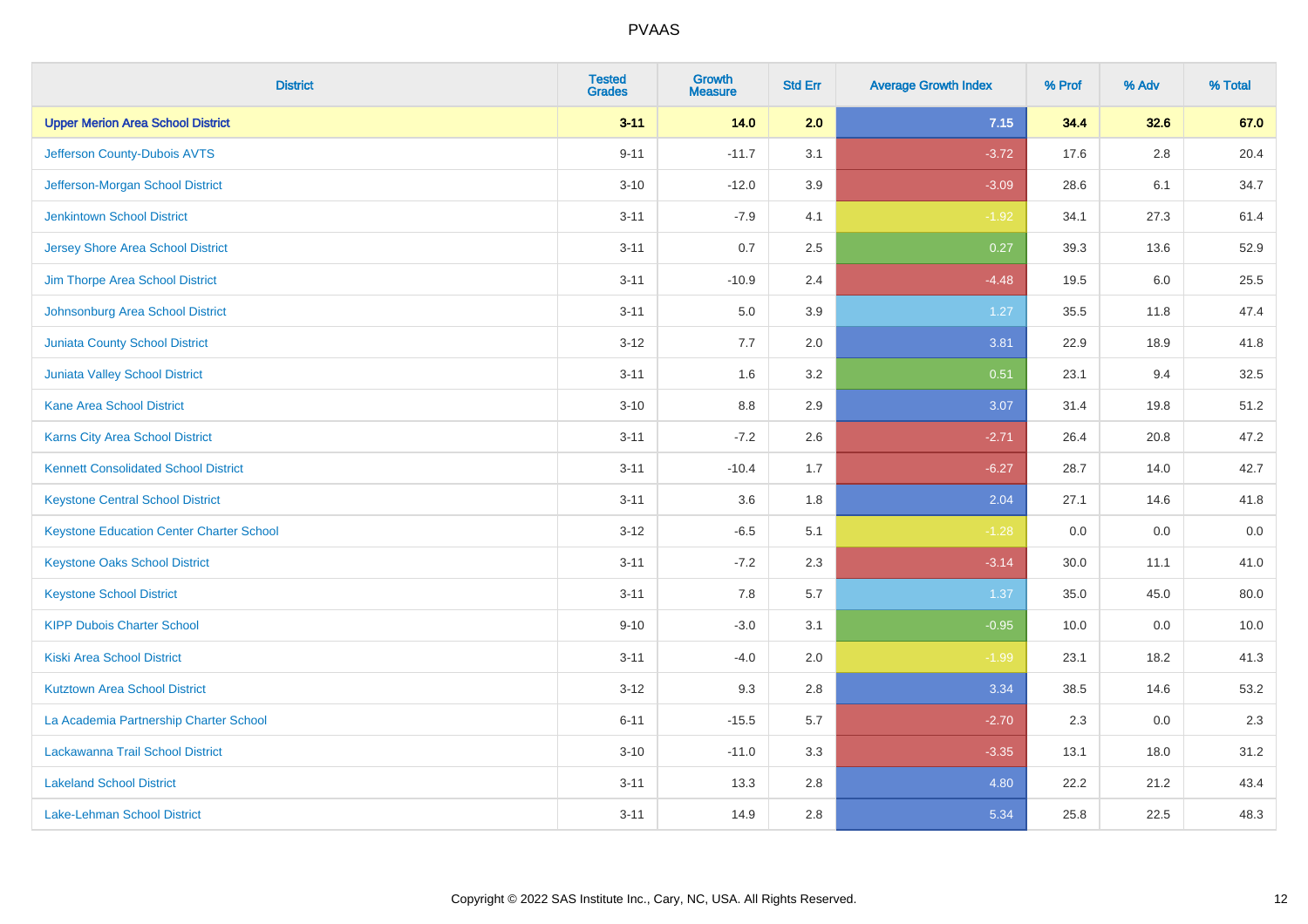| <b>District</b>                                 | <b>Tested</b><br><b>Grades</b> | <b>Growth</b><br><b>Measure</b> | <b>Std Err</b> | <b>Average Growth Index</b> | % Prof | % Adv   | % Total |
|-------------------------------------------------|--------------------------------|---------------------------------|----------------|-----------------------------|--------|---------|---------|
| <b>Upper Merion Area School District</b>        | $3 - 11$                       | 14.0                            | 2.0            | 7.15                        | 34.4   | 32.6    | 67.0    |
| Jefferson County-Dubois AVTS                    | $9 - 11$                       | $-11.7$                         | 3.1            | $-3.72$                     | 17.6   | $2.8\,$ | 20.4    |
| Jefferson-Morgan School District                | $3 - 10$                       | $-12.0$                         | 3.9            | $-3.09$                     | 28.6   | 6.1     | 34.7    |
| <b>Jenkintown School District</b>               | $3 - 11$                       | $-7.9$                          | 4.1            | $-1.92$                     | 34.1   | 27.3    | 61.4    |
| <b>Jersey Shore Area School District</b>        | $3 - 11$                       | 0.7                             | 2.5            | 0.27                        | 39.3   | 13.6    | 52.9    |
| Jim Thorpe Area School District                 | $3 - 11$                       | $-10.9$                         | 2.4            | $-4.48$                     | 19.5   | 6.0     | 25.5    |
| Johnsonburg Area School District                | $3 - 11$                       | 5.0                             | 3.9            | 1.27                        | 35.5   | 11.8    | 47.4    |
| <b>Juniata County School District</b>           | $3 - 12$                       | 7.7                             | 2.0            | 3.81                        | 22.9   | 18.9    | 41.8    |
| <b>Juniata Valley School District</b>           | $3 - 11$                       | 1.6                             | 3.2            | 0.51                        | 23.1   | 9.4     | 32.5    |
| <b>Kane Area School District</b>                | $3 - 10$                       | 8.8                             | 2.9            | 3.07                        | 31.4   | 19.8    | 51.2    |
| <b>Karns City Area School District</b>          | $3 - 11$                       | $-7.2$                          | 2.6            | $-2.71$                     | 26.4   | 20.8    | 47.2    |
| <b>Kennett Consolidated School District</b>     | $3 - 11$                       | $-10.4$                         | 1.7            | $-6.27$                     | 28.7   | 14.0    | 42.7    |
| <b>Keystone Central School District</b>         | $3 - 11$                       | 3.6                             | 1.8            | 2.04                        | 27.1   | 14.6    | 41.8    |
| <b>Keystone Education Center Charter School</b> | $3 - 12$                       | $-6.5$                          | 5.1            | $-1.28$                     | 0.0    | 0.0     | $0.0\,$ |
| <b>Keystone Oaks School District</b>            | $3 - 11$                       | $-7.2$                          | 2.3            | $-3.14$                     | 30.0   | 11.1    | 41.0    |
| <b>Keystone School District</b>                 | $3 - 11$                       | 7.8                             | 5.7            | 1.37                        | 35.0   | 45.0    | 80.0    |
| <b>KIPP Dubois Charter School</b>               | $9 - 10$                       | $-3.0$                          | 3.1            | $-0.95$                     | 10.0   | 0.0     | 10.0    |
| <b>Kiski Area School District</b>               | $3 - 11$                       | $-4.0$                          | 2.0            | $-1.99$                     | 23.1   | 18.2    | 41.3    |
| <b>Kutztown Area School District</b>            | $3 - 12$                       | 9.3                             | 2.8            | 3.34                        | 38.5   | 14.6    | 53.2    |
| La Academia Partnership Charter School          | $6 - 11$                       | $-15.5$                         | 5.7            | $-2.70$                     | 2.3    | 0.0     | 2.3     |
| Lackawanna Trail School District                | $3 - 10$                       | $-11.0$                         | 3.3            | $-3.35$                     | 13.1   | 18.0    | 31.2    |
| <b>Lakeland School District</b>                 | $3 - 11$                       | 13.3                            | 2.8            | 4.80                        | 22.2   | 21.2    | 43.4    |
| Lake-Lehman School District                     | $3 - 11$                       | 14.9                            | 2.8            | 5.34                        | 25.8   | 22.5    | 48.3    |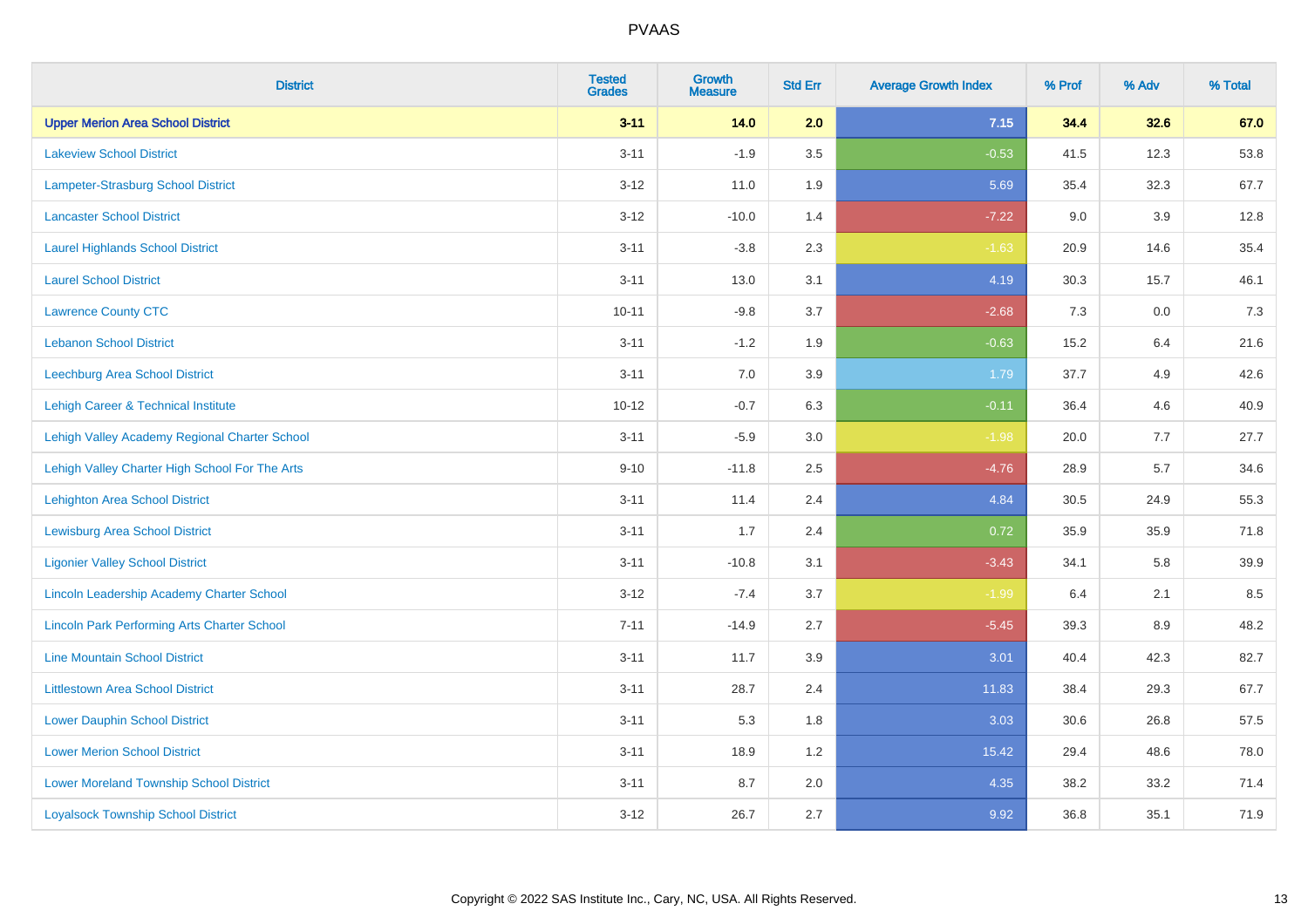| <b>District</b>                                    | <b>Tested</b><br><b>Grades</b> | <b>Growth</b><br><b>Measure</b> | <b>Std Err</b> | <b>Average Growth Index</b> | % Prof | % Adv | % Total |
|----------------------------------------------------|--------------------------------|---------------------------------|----------------|-----------------------------|--------|-------|---------|
| <b>Upper Merion Area School District</b>           | $3 - 11$                       | 14.0                            | 2.0            | 7.15                        | 34.4   | 32.6  | 67.0    |
| <b>Lakeview School District</b>                    | $3 - 11$                       | $-1.9$                          | 3.5            | $-0.53$                     | 41.5   | 12.3  | 53.8    |
| Lampeter-Strasburg School District                 | $3 - 12$                       | 11.0                            | 1.9            | 5.69                        | 35.4   | 32.3  | 67.7    |
| <b>Lancaster School District</b>                   | $3 - 12$                       | $-10.0$                         | 1.4            | $-7.22$                     | 9.0    | 3.9   | 12.8    |
| <b>Laurel Highlands School District</b>            | $3 - 11$                       | $-3.8$                          | 2.3            | $-1.63$                     | 20.9   | 14.6  | 35.4    |
| <b>Laurel School District</b>                      | $3 - 11$                       | 13.0                            | 3.1            | 4.19                        | 30.3   | 15.7  | 46.1    |
| <b>Lawrence County CTC</b>                         | $10 - 11$                      | $-9.8$                          | 3.7            | $-2.68$                     | 7.3    | 0.0   | 7.3     |
| <b>Lebanon School District</b>                     | $3 - 11$                       | $-1.2$                          | 1.9            | $-0.63$                     | 15.2   | 6.4   | 21.6    |
| Leechburg Area School District                     | $3 - 11$                       | 7.0                             | 3.9            | 1.79                        | 37.7   | 4.9   | 42.6    |
| <b>Lehigh Career &amp; Technical Institute</b>     | $10 - 12$                      | $-0.7$                          | 6.3            | $-0.11$                     | 36.4   | 4.6   | 40.9    |
| Lehigh Valley Academy Regional Charter School      | $3 - 11$                       | $-5.9$                          | 3.0            | $-1.98$                     | 20.0   | 7.7   | 27.7    |
| Lehigh Valley Charter High School For The Arts     | $9 - 10$                       | $-11.8$                         | 2.5            | $-4.76$                     | 28.9   | 5.7   | 34.6    |
| <b>Lehighton Area School District</b>              | $3 - 11$                       | 11.4                            | 2.4            | 4.84                        | 30.5   | 24.9  | 55.3    |
| <b>Lewisburg Area School District</b>              | $3 - 11$                       | 1.7                             | 2.4            | 0.72                        | 35.9   | 35.9  | 71.8    |
| <b>Ligonier Valley School District</b>             | $3 - 11$                       | $-10.8$                         | 3.1            | $-3.43$                     | 34.1   | 5.8   | 39.9    |
| Lincoln Leadership Academy Charter School          | $3 - 12$                       | $-7.4$                          | 3.7            | $-1.99$                     | 6.4    | 2.1   | 8.5     |
| <b>Lincoln Park Performing Arts Charter School</b> | $7 - 11$                       | $-14.9$                         | 2.7            | $-5.45$                     | 39.3   | 8.9   | 48.2    |
| <b>Line Mountain School District</b>               | $3 - 11$                       | 11.7                            | 3.9            | 3.01                        | 40.4   | 42.3  | 82.7    |
| <b>Littlestown Area School District</b>            | $3 - 11$                       | 28.7                            | 2.4            | 11.83                       | 38.4   | 29.3  | 67.7    |
| <b>Lower Dauphin School District</b>               | $3 - 11$                       | 5.3                             | 1.8            | 3.03                        | 30.6   | 26.8  | 57.5    |
| <b>Lower Merion School District</b>                | $3 - 11$                       | 18.9                            | 1.2            | 15.42                       | 29.4   | 48.6  | 78.0    |
| <b>Lower Moreland Township School District</b>     | $3 - 11$                       | 8.7                             | 2.0            | 4.35                        | 38.2   | 33.2  | 71.4    |
| <b>Loyalsock Township School District</b>          | $3 - 12$                       | 26.7                            | 2.7            | 9.92                        | 36.8   | 35.1  | 71.9    |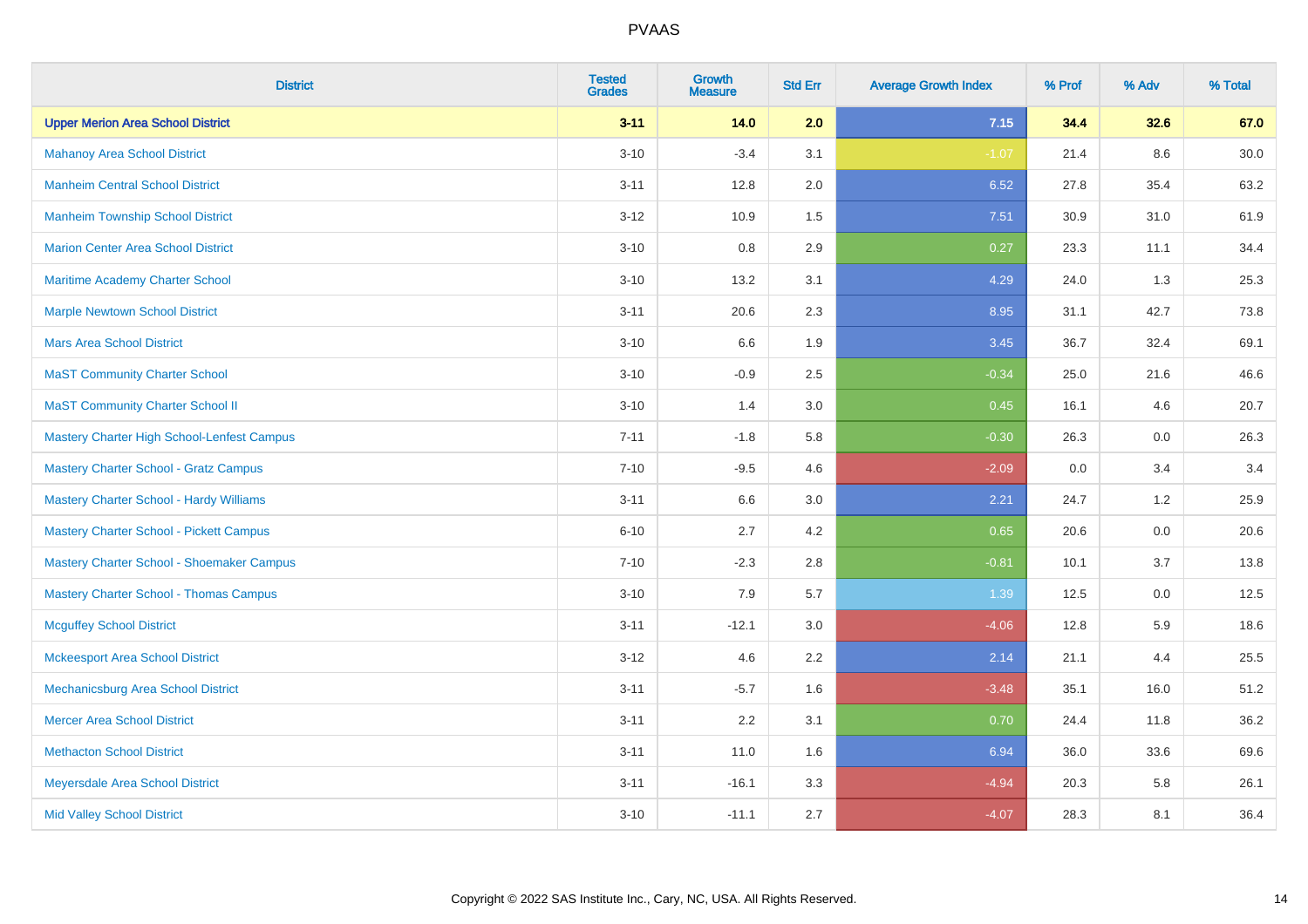| <b>District</b>                                | <b>Tested</b><br><b>Grades</b> | Growth<br><b>Measure</b> | <b>Std Err</b> | <b>Average Growth Index</b> | % Prof | % Adv | % Total |
|------------------------------------------------|--------------------------------|--------------------------|----------------|-----------------------------|--------|-------|---------|
| <b>Upper Merion Area School District</b>       | $3 - 11$                       | 14.0                     | 2.0            | 7.15                        | 34.4   | 32.6  | 67.0    |
| <b>Mahanoy Area School District</b>            | $3 - 10$                       | $-3.4$                   | 3.1            | $-1.07$                     | 21.4   | 8.6   | 30.0    |
| <b>Manheim Central School District</b>         | $3 - 11$                       | 12.8                     | 2.0            | 6.52                        | 27.8   | 35.4  | 63.2    |
| <b>Manheim Township School District</b>        | $3 - 12$                       | 10.9                     | 1.5            | 7.51                        | 30.9   | 31.0  | 61.9    |
| <b>Marion Center Area School District</b>      | $3 - 10$                       | 0.8                      | 2.9            | 0.27                        | 23.3   | 11.1  | 34.4    |
| Maritime Academy Charter School                | $3 - 10$                       | 13.2                     | 3.1            | 4.29                        | 24.0   | 1.3   | 25.3    |
| <b>Marple Newtown School District</b>          | $3 - 11$                       | 20.6                     | 2.3            | 8.95                        | 31.1   | 42.7  | 73.8    |
| <b>Mars Area School District</b>               | $3 - 10$                       | 6.6                      | 1.9            | 3.45                        | 36.7   | 32.4  | 69.1    |
| <b>MaST Community Charter School</b>           | $3 - 10$                       | $-0.9$                   | 2.5            | $-0.34$                     | 25.0   | 21.6  | 46.6    |
| <b>MaST Community Charter School II</b>        | $3 - 10$                       | 1.4                      | 3.0            | 0.45                        | 16.1   | 4.6   | 20.7    |
| Mastery Charter High School-Lenfest Campus     | $7 - 11$                       | $-1.8$                   | 5.8            | $-0.30$                     | 26.3   | 0.0   | 26.3    |
| <b>Mastery Charter School - Gratz Campus</b>   | $7 - 10$                       | $-9.5$                   | 4.6            | $-2.09$                     | 0.0    | 3.4   | 3.4     |
| <b>Mastery Charter School - Hardy Williams</b> | $3 - 11$                       | 6.6                      | 3.0            | 2.21                        | 24.7   | 1.2   | 25.9    |
| <b>Mastery Charter School - Pickett Campus</b> | $6 - 10$                       | 2.7                      | 4.2            | 0.65                        | 20.6   | 0.0   | 20.6    |
| Mastery Charter School - Shoemaker Campus      | $7 - 10$                       | $-2.3$                   | 2.8            | $-0.81$                     | 10.1   | 3.7   | 13.8    |
| <b>Mastery Charter School - Thomas Campus</b>  | $3 - 10$                       | 7.9                      | 5.7            | 1.39                        | 12.5   | 0.0   | 12.5    |
| <b>Mcguffey School District</b>                | $3 - 11$                       | $-12.1$                  | 3.0            | $-4.06$                     | 12.8   | 5.9   | 18.6    |
| <b>Mckeesport Area School District</b>         | $3 - 12$                       | 4.6                      | 2.2            | 2.14                        | 21.1   | 4.4   | 25.5    |
| Mechanicsburg Area School District             | $3 - 11$                       | $-5.7$                   | 1.6            | $-3.48$                     | 35.1   | 16.0  | 51.2    |
| <b>Mercer Area School District</b>             | $3 - 11$                       | 2.2                      | 3.1            | 0.70                        | 24.4   | 11.8  | 36.2    |
| <b>Methacton School District</b>               | $3 - 11$                       | 11.0                     | 1.6            | 6.94                        | 36.0   | 33.6  | 69.6    |
| Meyersdale Area School District                | $3 - 11$                       | $-16.1$                  | 3.3            | $-4.94$                     | 20.3   | 5.8   | 26.1    |
| <b>Mid Valley School District</b>              | $3 - 10$                       | $-11.1$                  | 2.7            | $-4.07$                     | 28.3   | 8.1   | 36.4    |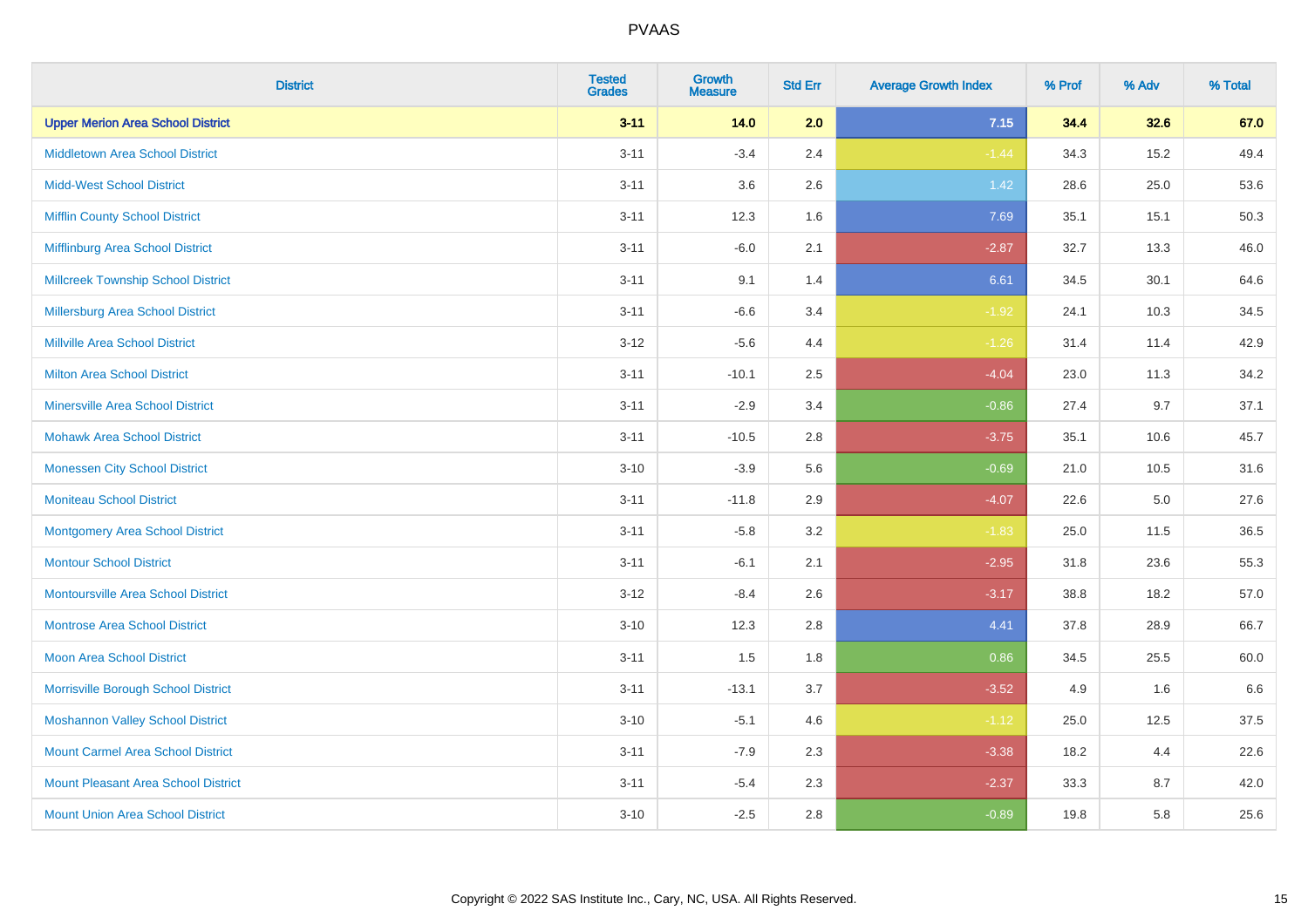| <b>District</b>                            | <b>Tested</b><br><b>Grades</b> | <b>Growth</b><br><b>Measure</b> | <b>Std Err</b> | <b>Average Growth Index</b> | % Prof | % Adv | % Total |
|--------------------------------------------|--------------------------------|---------------------------------|----------------|-----------------------------|--------|-------|---------|
| <b>Upper Merion Area School District</b>   | $3 - 11$                       | 14.0                            | 2.0            | 7.15                        | 34.4   | 32.6  | 67.0    |
| <b>Middletown Area School District</b>     | $3 - 11$                       | $-3.4$                          | 2.4            | $-1.44$                     | 34.3   | 15.2  | 49.4    |
| <b>Midd-West School District</b>           | $3 - 11$                       | 3.6                             | 2.6            | $1.42$                      | 28.6   | 25.0  | 53.6    |
| <b>Mifflin County School District</b>      | $3 - 11$                       | 12.3                            | 1.6            | 7.69                        | 35.1   | 15.1  | 50.3    |
| Mifflinburg Area School District           | $3 - 11$                       | $-6.0$                          | 2.1            | $-2.87$                     | 32.7   | 13.3  | 46.0    |
| <b>Millcreek Township School District</b>  | $3 - 11$                       | 9.1                             | 1.4            | 6.61                        | 34.5   | 30.1  | 64.6    |
| <b>Millersburg Area School District</b>    | $3 - 11$                       | $-6.6$                          | 3.4            | $-1.92$                     | 24.1   | 10.3  | 34.5    |
| <b>Millville Area School District</b>      | $3-12$                         | $-5.6$                          | 4.4            | $-1.26$                     | 31.4   | 11.4  | 42.9    |
| Milton Area School District                | $3 - 11$                       | $-10.1$                         | 2.5            | $-4.04$                     | 23.0   | 11.3  | 34.2    |
| <b>Minersville Area School District</b>    | $3 - 11$                       | $-2.9$                          | 3.4            | $-0.86$                     | 27.4   | 9.7   | 37.1    |
| <b>Mohawk Area School District</b>         | $3 - 11$                       | $-10.5$                         | 2.8            | $-3.75$                     | 35.1   | 10.6  | 45.7    |
| <b>Monessen City School District</b>       | $3 - 10$                       | $-3.9$                          | 5.6            | $-0.69$                     | 21.0   | 10.5  | 31.6    |
| <b>Moniteau School District</b>            | $3 - 11$                       | $-11.8$                         | 2.9            | $-4.07$                     | 22.6   | 5.0   | 27.6    |
| <b>Montgomery Area School District</b>     | $3 - 11$                       | $-5.8$                          | 3.2            | $-1.83$                     | 25.0   | 11.5  | 36.5    |
| <b>Montour School District</b>             | $3 - 11$                       | $-6.1$                          | 2.1            | $-2.95$                     | 31.8   | 23.6  | 55.3    |
| <b>Montoursville Area School District</b>  | $3 - 12$                       | $-8.4$                          | 2.6            | $-3.17$                     | 38.8   | 18.2  | 57.0    |
| <b>Montrose Area School District</b>       | $3 - 10$                       | 12.3                            | 2.8            | 4.41                        | 37.8   | 28.9  | 66.7    |
| <b>Moon Area School District</b>           | $3 - 11$                       | 1.5                             | 1.8            | 0.86                        | 34.5   | 25.5  | 60.0    |
| Morrisville Borough School District        | $3 - 11$                       | $-13.1$                         | 3.7            | $-3.52$                     | 4.9    | 1.6   | 6.6     |
| <b>Moshannon Valley School District</b>    | $3 - 10$                       | $-5.1$                          | 4.6            | $-1.12$                     | 25.0   | 12.5  | 37.5    |
| <b>Mount Carmel Area School District</b>   | $3 - 11$                       | $-7.9$                          | 2.3            | $-3.38$                     | 18.2   | 4.4   | 22.6    |
| <b>Mount Pleasant Area School District</b> | $3 - 11$                       | $-5.4$                          | 2.3            | $-2.37$                     | 33.3   | 8.7   | 42.0    |
| <b>Mount Union Area School District</b>    | $3 - 10$                       | $-2.5$                          | 2.8            | $-0.89$                     | 19.8   | 5.8   | 25.6    |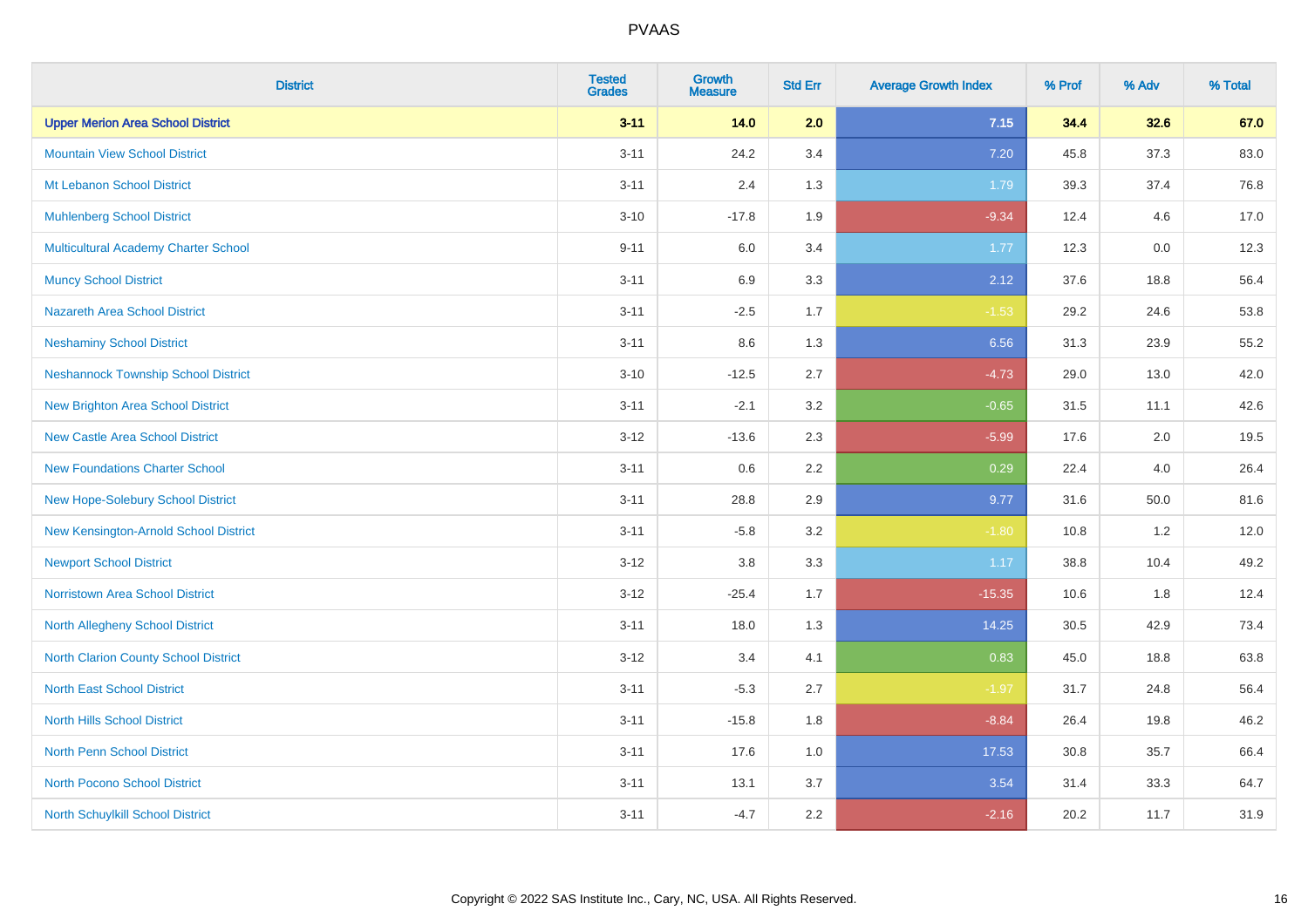| <b>District</b>                            | <b>Tested</b><br><b>Grades</b> | <b>Growth</b><br><b>Measure</b> | <b>Std Err</b> | <b>Average Growth Index</b> | % Prof | % Adv | % Total |
|--------------------------------------------|--------------------------------|---------------------------------|----------------|-----------------------------|--------|-------|---------|
| <b>Upper Merion Area School District</b>   | $3 - 11$                       | $14.0$                          | 2.0            | 7.15                        | 34.4   | 32.6  | 67.0    |
| <b>Mountain View School District</b>       | $3 - 11$                       | 24.2                            | 3.4            | 7.20                        | 45.8   | 37.3  | 83.0    |
| Mt Lebanon School District                 | $3 - 11$                       | 2.4                             | 1.3            | 1.79                        | 39.3   | 37.4  | 76.8    |
| <b>Muhlenberg School District</b>          | $3 - 10$                       | $-17.8$                         | 1.9            | $-9.34$                     | 12.4   | 4.6   | 17.0    |
| Multicultural Academy Charter School       | $9 - 11$                       | 6.0                             | 3.4            | 1.77                        | 12.3   | 0.0   | 12.3    |
| <b>Muncy School District</b>               | $3 - 11$                       | 6.9                             | 3.3            | 2.12                        | 37.6   | 18.8  | 56.4    |
| <b>Nazareth Area School District</b>       | $3 - 11$                       | $-2.5$                          | 1.7            | $-1.53$                     | 29.2   | 24.6  | 53.8    |
| <b>Neshaminy School District</b>           | $3 - 11$                       | 8.6                             | 1.3            | 6.56                        | 31.3   | 23.9  | 55.2    |
| <b>Neshannock Township School District</b> | $3 - 10$                       | $-12.5$                         | 2.7            | $-4.73$                     | 29.0   | 13.0  | 42.0    |
| <b>New Brighton Area School District</b>   | $3 - 11$                       | $-2.1$                          | 3.2            | $-0.65$                     | 31.5   | 11.1  | 42.6    |
| <b>New Castle Area School District</b>     | $3 - 12$                       | $-13.6$                         | 2.3            | $-5.99$                     | 17.6   | 2.0   | 19.5    |
| <b>New Foundations Charter School</b>      | $3 - 11$                       | 0.6                             | 2.2            | 0.29                        | 22.4   | 4.0   | 26.4    |
| New Hope-Solebury School District          | $3 - 11$                       | 28.8                            | 2.9            | 9.77                        | 31.6   | 50.0  | 81.6    |
| New Kensington-Arnold School District      | $3 - 11$                       | $-5.8$                          | 3.2            | $-1.80$                     | 10.8   | 1.2   | 12.0    |
| <b>Newport School District</b>             | $3 - 12$                       | $3.8\,$                         | 3.3            | 1.17                        | 38.8   | 10.4  | 49.2    |
| <b>Norristown Area School District</b>     | $3 - 12$                       | $-25.4$                         | 1.7            | $-15.35$                    | 10.6   | 1.8   | 12.4    |
| North Allegheny School District            | $3 - 11$                       | 18.0                            | 1.3            | 14.25                       | 30.5   | 42.9  | 73.4    |
| North Clarion County School District       | $3 - 12$                       | 3.4                             | 4.1            | 0.83                        | 45.0   | 18.8  | 63.8    |
| <b>North East School District</b>          | $3 - 11$                       | $-5.3$                          | 2.7            | $-1.97$                     | 31.7   | 24.8  | 56.4    |
| <b>North Hills School District</b>         | $3 - 11$                       | $-15.8$                         | 1.8            | $-8.84$                     | 26.4   | 19.8  | 46.2    |
| <b>North Penn School District</b>          | $3 - 11$                       | 17.6                            | 1.0            | 17.53                       | 30.8   | 35.7  | 66.4    |
| <b>North Pocono School District</b>        | $3 - 11$                       | 13.1                            | 3.7            | 3.54                        | 31.4   | 33.3  | 64.7    |
| North Schuylkill School District           | $3 - 11$                       | $-4.7$                          | 2.2            | $-2.16$                     | 20.2   | 11.7  | 31.9    |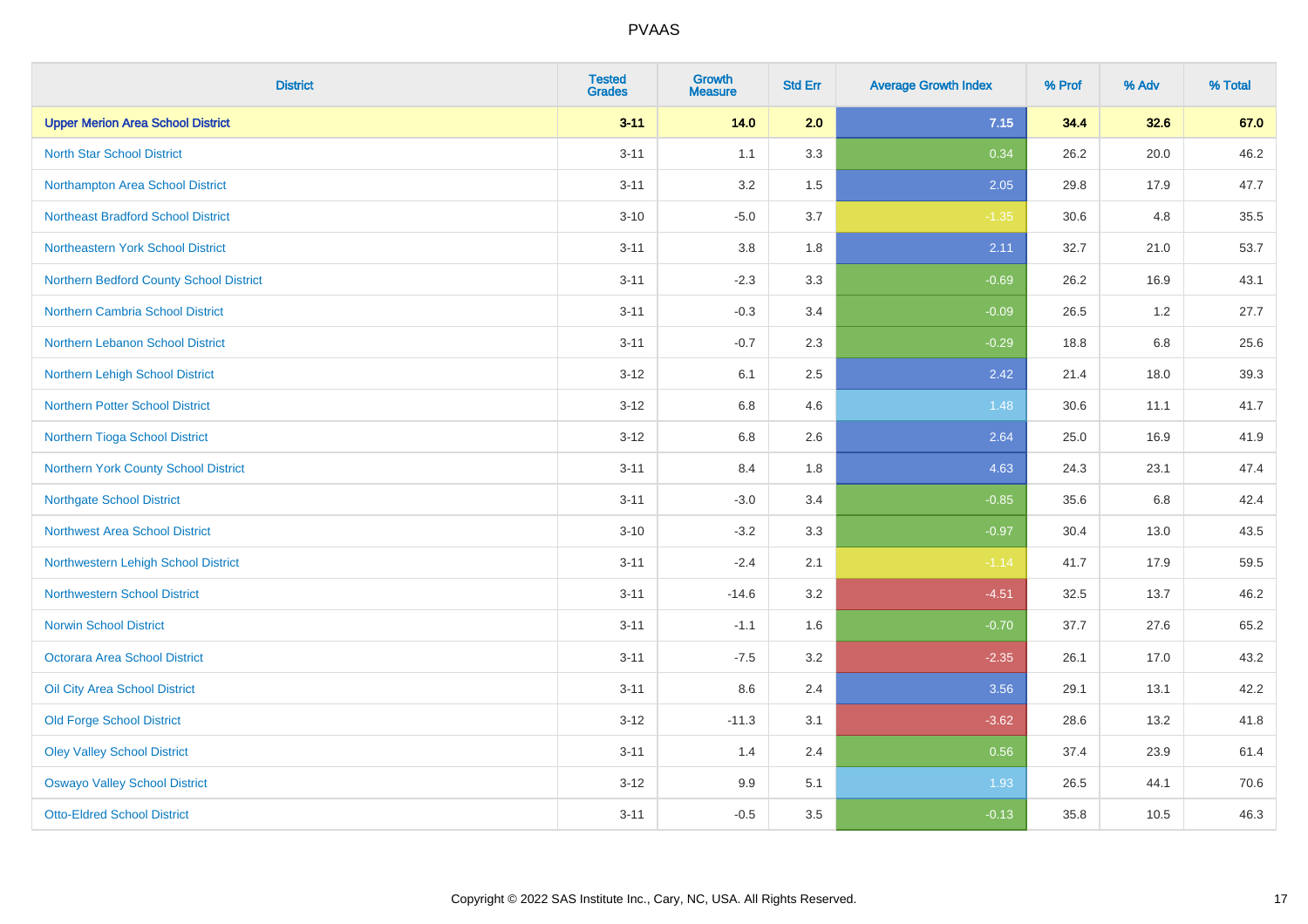| <b>District</b>                           | <b>Tested</b><br><b>Grades</b> | <b>Growth</b><br><b>Measure</b> | <b>Std Err</b> | <b>Average Growth Index</b> | % Prof | % Adv   | % Total |
|-------------------------------------------|--------------------------------|---------------------------------|----------------|-----------------------------|--------|---------|---------|
| <b>Upper Merion Area School District</b>  | $3 - 11$                       | 14.0                            | 2.0            | 7.15                        | 34.4   | 32.6    | 67.0    |
| <b>North Star School District</b>         | $3 - 11$                       | 1.1                             | 3.3            | 0.34                        | 26.2   | 20.0    | 46.2    |
| Northampton Area School District          | $3 - 11$                       | 3.2                             | 1.5            | 2.05                        | 29.8   | 17.9    | 47.7    |
| <b>Northeast Bradford School District</b> | $3 - 10$                       | $-5.0$                          | 3.7            | $-1.35$                     | 30.6   | 4.8     | 35.5    |
| Northeastern York School District         | $3 - 11$                       | 3.8                             | 1.8            | 2.11                        | 32.7   | 21.0    | 53.7    |
| Northern Bedford County School District   | $3 - 11$                       | $-2.3$                          | 3.3            | $-0.69$                     | 26.2   | 16.9    | 43.1    |
| Northern Cambria School District          | $3 - 11$                       | $-0.3$                          | 3.4            | $-0.09$                     | 26.5   | 1.2     | 27.7    |
| Northern Lebanon School District          | $3 - 11$                       | $-0.7$                          | 2.3            | $-0.29$                     | 18.8   | 6.8     | 25.6    |
| Northern Lehigh School District           | $3 - 12$                       | 6.1                             | 2.5            | 2.42                        | 21.4   | 18.0    | 39.3    |
| Northern Potter School District           | $3 - 12$                       | 6.8                             | 4.6            | 1.48                        | 30.6   | 11.1    | 41.7    |
| Northern Tioga School District            | $3 - 12$                       | 6.8                             | 2.6            | 2.64                        | 25.0   | 16.9    | 41.9    |
| Northern York County School District      | $3 - 11$                       | 8.4                             | 1.8            | 4.63                        | 24.3   | 23.1    | 47.4    |
| <b>Northgate School District</b>          | $3 - 11$                       | $-3.0$                          | 3.4            | $-0.85$                     | 35.6   | $6.8\,$ | 42.4    |
| <b>Northwest Area School District</b>     | $3 - 10$                       | $-3.2$                          | 3.3            | $-0.97$                     | 30.4   | 13.0    | 43.5    |
| Northwestern Lehigh School District       | $3 - 11$                       | $-2.4$                          | 2.1            | $-1.14$                     | 41.7   | 17.9    | 59.5    |
| <b>Northwestern School District</b>       | $3 - 11$                       | $-14.6$                         | 3.2            | $-4.51$                     | 32.5   | 13.7    | 46.2    |
| <b>Norwin School District</b>             | $3 - 11$                       | $-1.1$                          | 1.6            | $-0.70$                     | 37.7   | 27.6    | 65.2    |
| <b>Octorara Area School District</b>      | $3 - 11$                       | $-7.5$                          | 3.2            | $-2.35$                     | 26.1   | 17.0    | 43.2    |
| Oil City Area School District             | $3 - 11$                       | 8.6                             | 2.4            | 3.56                        | 29.1   | 13.1    | 42.2    |
| <b>Old Forge School District</b>          | $3 - 12$                       | $-11.3$                         | 3.1            | $-3.62$                     | 28.6   | 13.2    | 41.8    |
| <b>Oley Valley School District</b>        | $3 - 11$                       | 1.4                             | 2.4            | 0.56                        | 37.4   | 23.9    | 61.4    |
| <b>Oswayo Valley School District</b>      | $3 - 12$                       | 9.9                             | 5.1            | 1.93                        | 26.5   | 44.1    | 70.6    |
| <b>Otto-Eldred School District</b>        | $3 - 11$                       | $-0.5$                          | 3.5            | $-0.13$                     | 35.8   | 10.5    | 46.3    |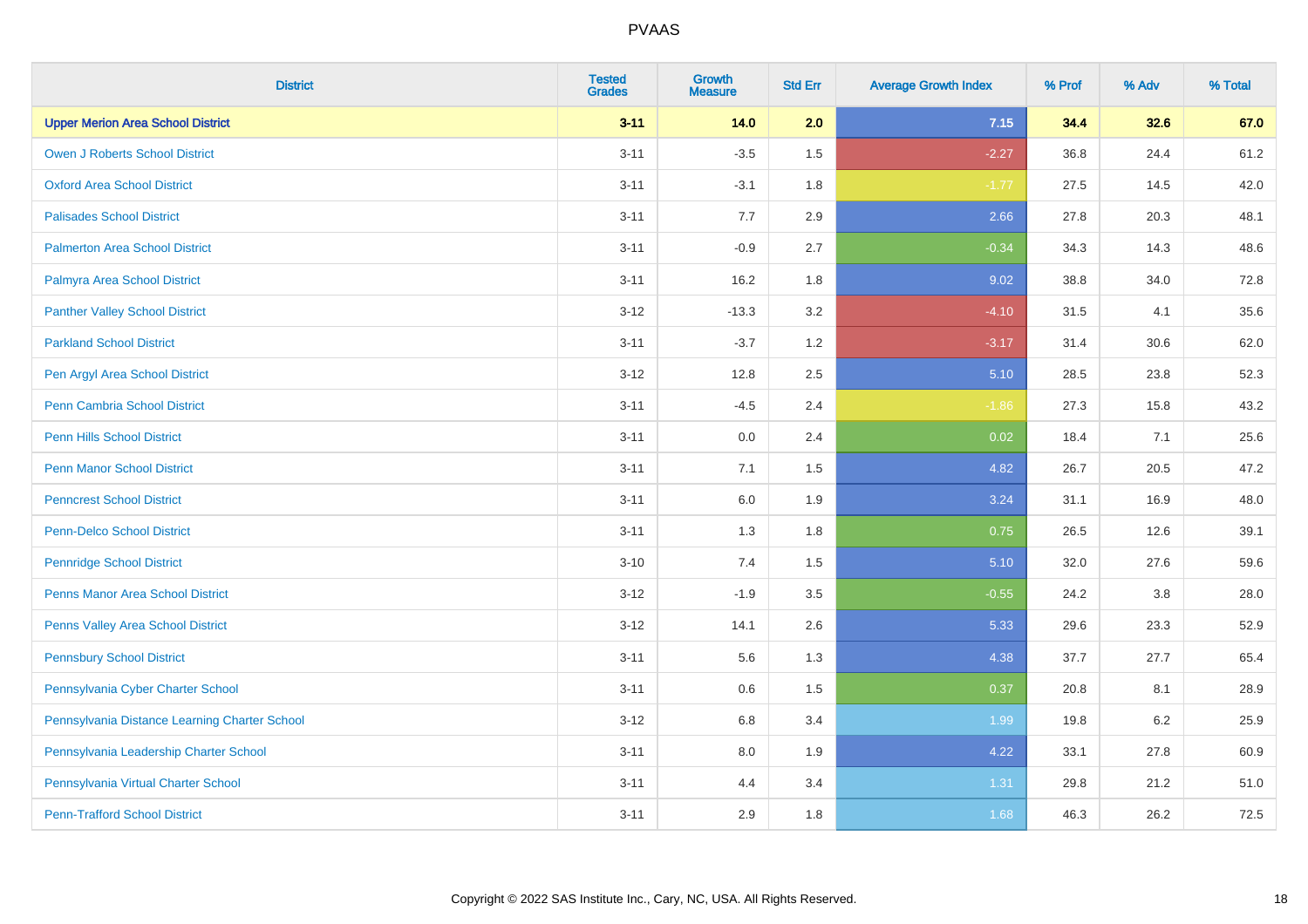| <b>District</b>                               | <b>Tested</b><br><b>Grades</b> | <b>Growth</b><br><b>Measure</b> | <b>Std Err</b> | <b>Average Growth Index</b> | % Prof | % Adv   | % Total |
|-----------------------------------------------|--------------------------------|---------------------------------|----------------|-----------------------------|--------|---------|---------|
| <b>Upper Merion Area School District</b>      | $3 - 11$                       | 14.0                            | 2.0            | 7.15                        | 34.4   | 32.6    | 67.0    |
| <b>Owen J Roberts School District</b>         | $3 - 11$                       | $-3.5$                          | 1.5            | $-2.27$                     | 36.8   | 24.4    | 61.2    |
| <b>Oxford Area School District</b>            | $3 - 11$                       | $-3.1$                          | 1.8            | $-1.77$                     | 27.5   | 14.5    | 42.0    |
| <b>Palisades School District</b>              | $3 - 11$                       | 7.7                             | 2.9            | 2.66                        | 27.8   | 20.3    | 48.1    |
| <b>Palmerton Area School District</b>         | $3 - 11$                       | $-0.9$                          | 2.7            | $-0.34$                     | 34.3   | 14.3    | 48.6    |
| Palmyra Area School District                  | $3 - 11$                       | 16.2                            | 1.8            | 9.02                        | 38.8   | 34.0    | 72.8    |
| <b>Panther Valley School District</b>         | $3 - 12$                       | $-13.3$                         | 3.2            | $-4.10$                     | 31.5   | 4.1     | 35.6    |
| <b>Parkland School District</b>               | $3 - 11$                       | $-3.7$                          | 1.2            | $-3.17$                     | 31.4   | 30.6    | 62.0    |
| Pen Argyl Area School District                | $3 - 12$                       | 12.8                            | 2.5            | 5.10                        | 28.5   | 23.8    | 52.3    |
| Penn Cambria School District                  | $3 - 11$                       | $-4.5$                          | 2.4            | $-1.86$                     | 27.3   | 15.8    | 43.2    |
| <b>Penn Hills School District</b>             | $3 - 11$                       | 0.0                             | 2.4            | 0.02                        | 18.4   | 7.1     | 25.6    |
| <b>Penn Manor School District</b>             | $3 - 11$                       | 7.1                             | 1.5            | 4.82                        | 26.7   | 20.5    | 47.2    |
| <b>Penncrest School District</b>              | $3 - 11$                       | 6.0                             | 1.9            | 3.24                        | 31.1   | 16.9    | 48.0    |
| <b>Penn-Delco School District</b>             | $3 - 11$                       | 1.3                             | 1.8            | 0.75                        | 26.5   | 12.6    | 39.1    |
| <b>Pennridge School District</b>              | $3 - 10$                       | 7.4                             | 1.5            | 5.10                        | 32.0   | 27.6    | 59.6    |
| <b>Penns Manor Area School District</b>       | $3 - 12$                       | $-1.9$                          | $3.5\,$        | $-0.55$                     | 24.2   | $3.8\,$ | 28.0    |
| Penns Valley Area School District             | $3 - 12$                       | 14.1                            | 2.6            | 5.33                        | 29.6   | 23.3    | 52.9    |
| <b>Pennsbury School District</b>              | $3 - 11$                       | 5.6                             | 1.3            | 4.38                        | 37.7   | 27.7    | 65.4    |
| Pennsylvania Cyber Charter School             | $3 - 11$                       | 0.6                             | 1.5            | 0.37                        | 20.8   | 8.1     | 28.9    |
| Pennsylvania Distance Learning Charter School | $3 - 12$                       | 6.8                             | 3.4            | 1.99                        | 19.8   | 6.2     | 25.9    |
| Pennsylvania Leadership Charter School        | $3 - 11$                       | 8.0                             | 1.9            | 4.22                        | 33.1   | 27.8    | 60.9    |
| Pennsylvania Virtual Charter School           | $3 - 11$                       | 4.4                             | 3.4            | 1.31                        | 29.8   | 21.2    | 51.0    |
| <b>Penn-Trafford School District</b>          | $3 - 11$                       | 2.9                             | 1.8            | 1.68                        | 46.3   | 26.2    | 72.5    |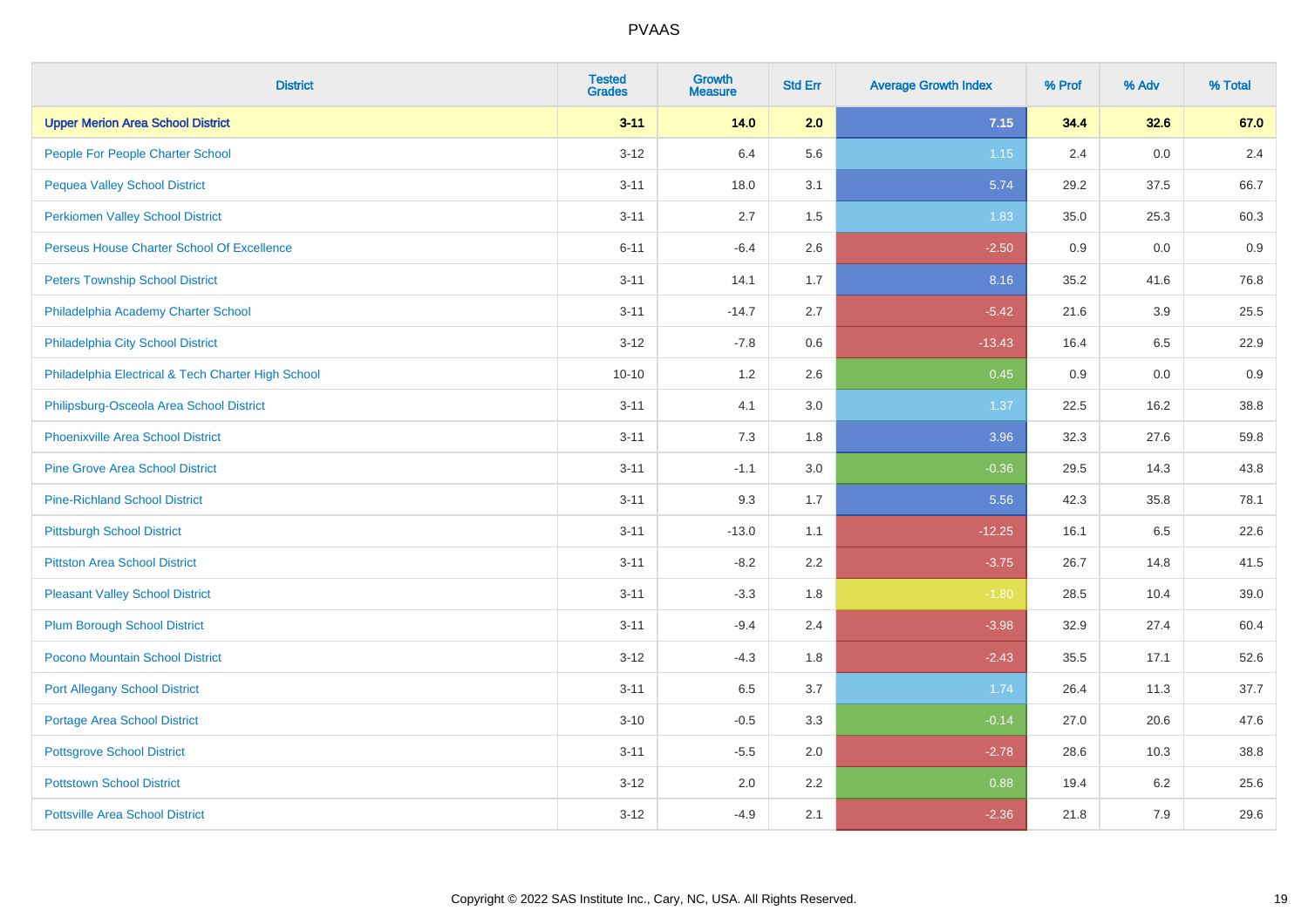| <b>District</b>                                    | <b>Tested</b><br><b>Grades</b> | <b>Growth</b><br><b>Measure</b> | <b>Std Err</b> | <b>Average Growth Index</b> | % Prof | % Adv | % Total |
|----------------------------------------------------|--------------------------------|---------------------------------|----------------|-----------------------------|--------|-------|---------|
| <b>Upper Merion Area School District</b>           | $3 - 11$                       | 14.0                            | 2.0            | 7.15                        | 34.4   | 32.6  | 67.0    |
| People For People Charter School                   | $3 - 12$                       | 6.4                             | 5.6            | 1.15                        | 2.4    | 0.0   | 2.4     |
| <b>Pequea Valley School District</b>               | $3 - 11$                       | 18.0                            | 3.1            | 5.74                        | 29.2   | 37.5  | 66.7    |
| <b>Perkiomen Valley School District</b>            | $3 - 11$                       | 2.7                             | 1.5            | 1.83                        | 35.0   | 25.3  | 60.3    |
| Perseus House Charter School Of Excellence         | $6 - 11$                       | $-6.4$                          | 2.6            | $-2.50$                     | 0.9    | 0.0   | 0.9     |
| <b>Peters Township School District</b>             | $3 - 11$                       | 14.1                            | 1.7            | 8.16                        | 35.2   | 41.6  | 76.8    |
| Philadelphia Academy Charter School                | $3 - 11$                       | $-14.7$                         | 2.7            | $-5.42$                     | 21.6   | 3.9   | 25.5    |
| Philadelphia City School District                  | $3 - 12$                       | $-7.8$                          | 0.6            | $-13.43$                    | 16.4   | 6.5   | 22.9    |
| Philadelphia Electrical & Tech Charter High School | $10 - 10$                      | 1.2                             | 2.6            | 0.45                        | 0.9    | 0.0   | 0.9     |
| Philipsburg-Osceola Area School District           | $3 - 11$                       | 4.1                             | 3.0            | 1.37                        | 22.5   | 16.2  | 38.8    |
| Phoenixville Area School District                  | $3 - 11$                       | 7.3                             | 1.8            | 3.96                        | 32.3   | 27.6  | 59.8    |
| <b>Pine Grove Area School District</b>             | $3 - 11$                       | $-1.1$                          | 3.0            | $-0.36$                     | 29.5   | 14.3  | 43.8    |
| <b>Pine-Richland School District</b>               | $3 - 11$                       | 9.3                             | 1.7            | 5.56                        | 42.3   | 35.8  | 78.1    |
| <b>Pittsburgh School District</b>                  | $3 - 11$                       | $-13.0$                         | 1.1            | $-12.25$                    | 16.1   | 6.5   | 22.6    |
| <b>Pittston Area School District</b>               | $3 - 11$                       | $-8.2$                          | 2.2            | $-3.75$                     | 26.7   | 14.8  | 41.5    |
| <b>Pleasant Valley School District</b>             | $3 - 11$                       | $-3.3$                          | 1.8            | $-1.80$                     | 28.5   | 10.4  | 39.0    |
| <b>Plum Borough School District</b>                | $3 - 11$                       | $-9.4$                          | 2.4            | $-3.98$                     | 32.9   | 27.4  | 60.4    |
| Pocono Mountain School District                    | $3 - 12$                       | $-4.3$                          | 1.8            | $-2.43$                     | 35.5   | 17.1  | 52.6    |
| <b>Port Allegany School District</b>               | $3 - 11$                       | 6.5                             | 3.7            | 1.74                        | 26.4   | 11.3  | 37.7    |
| <b>Portage Area School District</b>                | $3 - 10$                       | $-0.5$                          | 3.3            | $-0.14$                     | 27.0   | 20.6  | 47.6    |
| <b>Pottsgrove School District</b>                  | $3 - 11$                       | $-5.5$                          | 2.0            | $-2.78$                     | 28.6   | 10.3  | 38.8    |
| <b>Pottstown School District</b>                   | $3 - 12$                       | 2.0                             | 2.2            | 0.88                        | 19.4   | 6.2   | 25.6    |
| <b>Pottsville Area School District</b>             | $3 - 12$                       | $-4.9$                          | 2.1            | $-2.36$                     | 21.8   | 7.9   | 29.6    |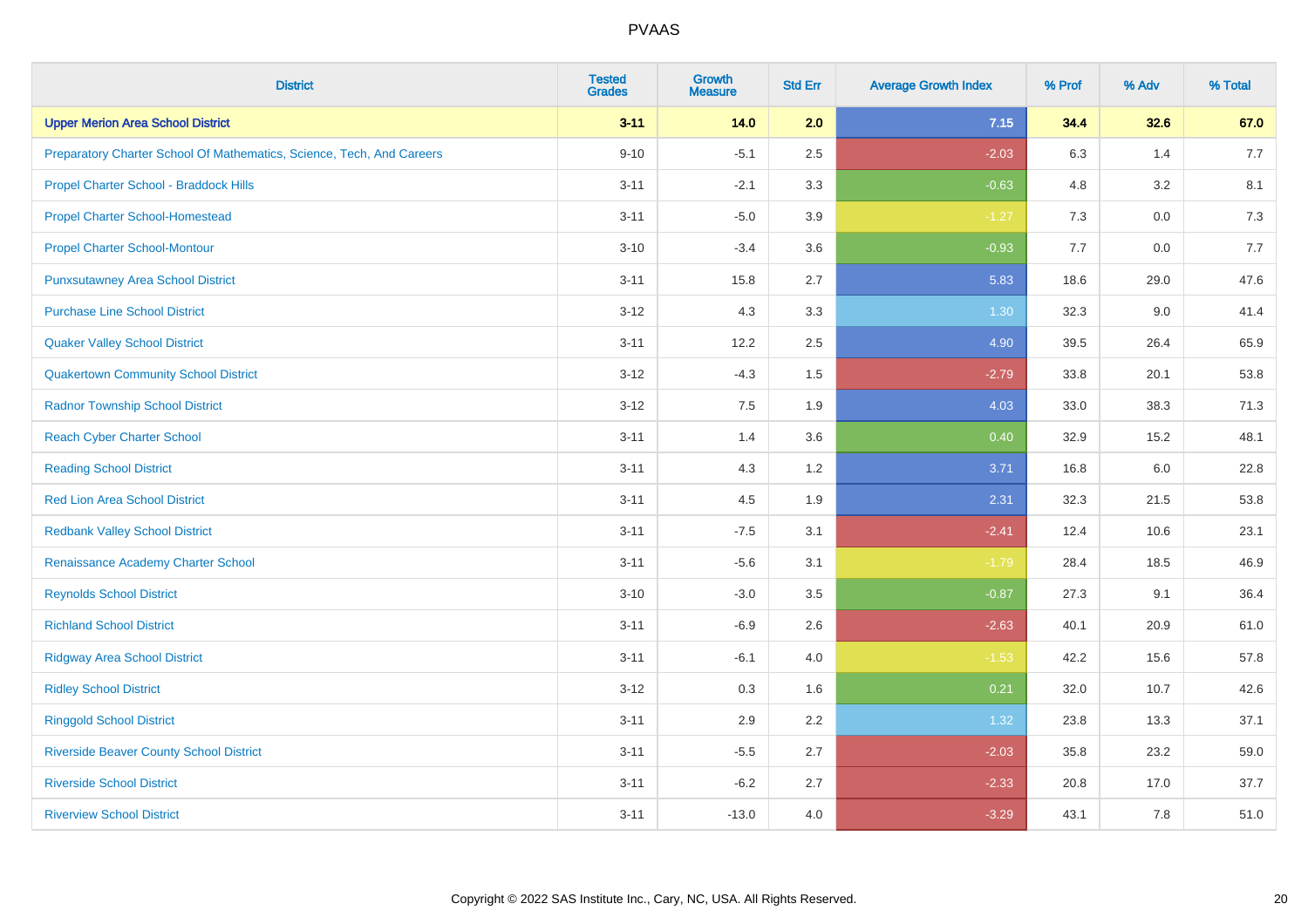| <b>District</b>                                                       | <b>Tested</b><br><b>Grades</b> | <b>Growth</b><br><b>Measure</b> | <b>Std Err</b> | <b>Average Growth Index</b> | % Prof | % Adv   | % Total |
|-----------------------------------------------------------------------|--------------------------------|---------------------------------|----------------|-----------------------------|--------|---------|---------|
| <b>Upper Merion Area School District</b>                              | $3 - 11$                       | 14.0                            | 2.0            | 7.15                        | 34.4   | 32.6    | 67.0    |
| Preparatory Charter School Of Mathematics, Science, Tech, And Careers | $9 - 10$                       | $-5.1$                          | 2.5            | $-2.03$                     | 6.3    | 1.4     | 7.7     |
| Propel Charter School - Braddock Hills                                | $3 - 11$                       | $-2.1$                          | 3.3            | $-0.63$                     | 4.8    | 3.2     | 8.1     |
| <b>Propel Charter School-Homestead</b>                                | $3 - 11$                       | $-5.0$                          | 3.9            | $-1.27$                     | 7.3    | $0.0\,$ | 7.3     |
| <b>Propel Charter School-Montour</b>                                  | $3 - 10$                       | $-3.4$                          | 3.6            | $-0.93$                     | 7.7    | 0.0     | 7.7     |
| <b>Punxsutawney Area School District</b>                              | $3 - 11$                       | 15.8                            | 2.7            | 5.83                        | 18.6   | 29.0    | 47.6    |
| <b>Purchase Line School District</b>                                  | $3 - 12$                       | 4.3                             | 3.3            | $1.30$                      | 32.3   | 9.0     | 41.4    |
| <b>Quaker Valley School District</b>                                  | $3 - 11$                       | 12.2                            | 2.5            | 4.90                        | 39.5   | 26.4    | 65.9    |
| <b>Quakertown Community School District</b>                           | $3 - 12$                       | $-4.3$                          | 1.5            | $-2.79$                     | 33.8   | 20.1    | 53.8    |
| <b>Radnor Township School District</b>                                | $3 - 12$                       | 7.5                             | 1.9            | 4.03                        | 33.0   | 38.3    | 71.3    |
| <b>Reach Cyber Charter School</b>                                     | $3 - 11$                       | 1.4                             | 3.6            | 0.40                        | 32.9   | 15.2    | 48.1    |
| <b>Reading School District</b>                                        | $3 - 11$                       | 4.3                             | 1.2            | 3.71                        | 16.8   | 6.0     | 22.8    |
| <b>Red Lion Area School District</b>                                  | $3 - 11$                       | 4.5                             | 1.9            | 2.31                        | 32.3   | 21.5    | 53.8    |
| <b>Redbank Valley School District</b>                                 | $3 - 11$                       | $-7.5$                          | 3.1            | $-2.41$                     | 12.4   | 10.6    | 23.1    |
| Renaissance Academy Charter School                                    | $3 - 11$                       | $-5.6$                          | 3.1            | $-1.79$                     | 28.4   | 18.5    | 46.9    |
| <b>Reynolds School District</b>                                       | $3 - 10$                       | $-3.0$                          | 3.5            | $-0.87$                     | 27.3   | 9.1     | 36.4    |
| <b>Richland School District</b>                                       | $3 - 11$                       | $-6.9$                          | 2.6            | $-2.63$                     | 40.1   | 20.9    | 61.0    |
| <b>Ridgway Area School District</b>                                   | $3 - 11$                       | $-6.1$                          | 4.0            | $-1.53$                     | 42.2   | 15.6    | 57.8    |
| <b>Ridley School District</b>                                         | $3 - 12$                       | 0.3                             | 1.6            | 0.21                        | 32.0   | 10.7    | 42.6    |
| <b>Ringgold School District</b>                                       | $3 - 11$                       | 2.9                             | 2.2            | 1.32                        | 23.8   | 13.3    | 37.1    |
| <b>Riverside Beaver County School District</b>                        | $3 - 11$                       | $-5.5$                          | 2.7            | $-2.03$                     | 35.8   | 23.2    | 59.0    |
| <b>Riverside School District</b>                                      | $3 - 11$                       | $-6.2$                          | 2.7            | $-2.33$                     | 20.8   | 17.0    | 37.7    |
| <b>Riverview School District</b>                                      | $3 - 11$                       | $-13.0$                         | 4.0            | $-3.29$                     | 43.1   | 7.8     | 51.0    |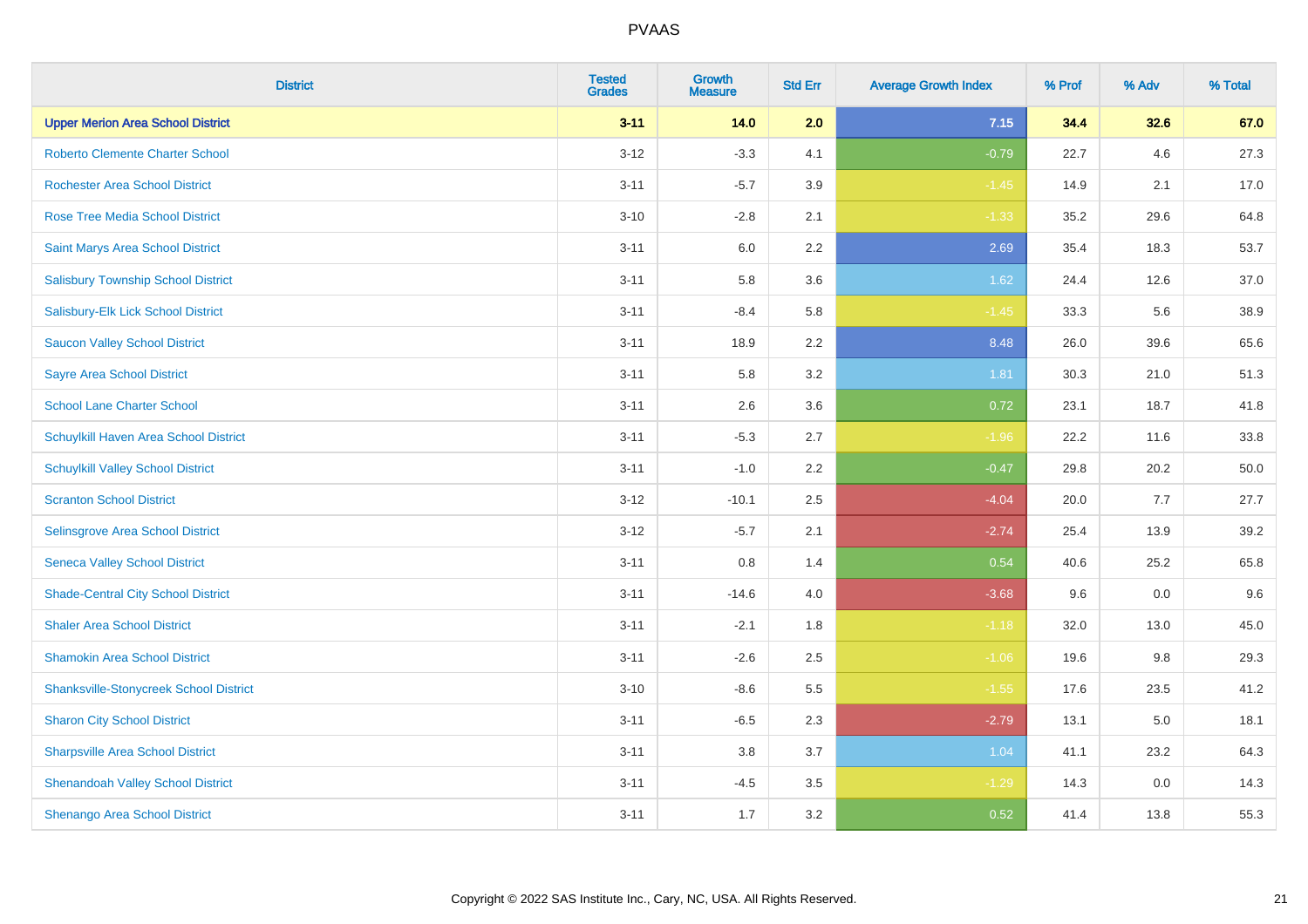| <b>District</b>                               | <b>Tested</b><br><b>Grades</b> | Growth<br><b>Measure</b> | <b>Std Err</b> | <b>Average Growth Index</b> | % Prof | % Adv | % Total |
|-----------------------------------------------|--------------------------------|--------------------------|----------------|-----------------------------|--------|-------|---------|
| <b>Upper Merion Area School District</b>      | $3 - 11$                       | 14.0                     | 2.0            | 7.15                        | 34.4   | 32.6  | 67.0    |
| <b>Roberto Clemente Charter School</b>        | $3 - 12$                       | $-3.3$                   | 4.1            | $-0.79$                     | 22.7   | 4.6   | 27.3    |
| <b>Rochester Area School District</b>         | $3 - 11$                       | $-5.7$                   | 3.9            | $-1.45$                     | 14.9   | 2.1   | 17.0    |
| <b>Rose Tree Media School District</b>        | $3 - 10$                       | $-2.8$                   | 2.1            | $-1.33$                     | 35.2   | 29.6  | 64.8    |
| Saint Marys Area School District              | $3 - 11$                       | 6.0                      | 2.2            | 2.69                        | 35.4   | 18.3  | 53.7    |
| <b>Salisbury Township School District</b>     | $3 - 11$                       | 5.8                      | 3.6            | 1.62                        | 24.4   | 12.6  | 37.0    |
| Salisbury-Elk Lick School District            | $3 - 11$                       | $-8.4$                   | 5.8            | $-1.45$                     | 33.3   | 5.6   | 38.9    |
| <b>Saucon Valley School District</b>          | $3 - 11$                       | 18.9                     | 2.2            | 8.48                        | 26.0   | 39.6  | 65.6    |
| <b>Sayre Area School District</b>             | $3 - 11$                       | 5.8                      | 3.2            | 1.81                        | 30.3   | 21.0  | 51.3    |
| <b>School Lane Charter School</b>             | $3 - 11$                       | 2.6                      | 3.6            | 0.72                        | 23.1   | 18.7  | 41.8    |
| Schuylkill Haven Area School District         | $3 - 11$                       | $-5.3$                   | 2.7            | $-1.96$                     | 22.2   | 11.6  | 33.8    |
| <b>Schuylkill Valley School District</b>      | $3 - 11$                       | $-1.0$                   | 2.2            | $-0.47$                     | 29.8   | 20.2  | 50.0    |
| <b>Scranton School District</b>               | $3 - 12$                       | $-10.1$                  | 2.5            | $-4.04$                     | 20.0   | 7.7   | 27.7    |
| Selinsgrove Area School District              | $3 - 12$                       | $-5.7$                   | 2.1            | $-2.74$                     | 25.4   | 13.9  | 39.2    |
| <b>Seneca Valley School District</b>          | $3 - 11$                       | $0.8\,$                  | 1.4            | 0.54                        | 40.6   | 25.2  | 65.8    |
| <b>Shade-Central City School District</b>     | $3 - 11$                       | $-14.6$                  | 4.0            | $-3.68$                     | 9.6    | 0.0   | 9.6     |
| <b>Shaler Area School District</b>            | $3 - 11$                       | $-2.1$                   | 1.8            | $-1.18$                     | 32.0   | 13.0  | 45.0    |
| <b>Shamokin Area School District</b>          | $3 - 11$                       | $-2.6$                   | 2.5            | $-1.06$                     | 19.6   | 9.8   | 29.3    |
| <b>Shanksville-Stonycreek School District</b> | $3 - 10$                       | $-8.6$                   | 5.5            | $-1.55$                     | 17.6   | 23.5  | 41.2    |
| <b>Sharon City School District</b>            | $3 - 11$                       | $-6.5$                   | 2.3            | $-2.79$                     | 13.1   | 5.0   | 18.1    |
| <b>Sharpsville Area School District</b>       | $3 - 11$                       | 3.8                      | 3.7            | 1.04                        | 41.1   | 23.2  | 64.3    |
| <b>Shenandoah Valley School District</b>      | $3 - 11$                       | $-4.5$                   | 3.5            | $-1.29$                     | 14.3   | 0.0   | 14.3    |
| Shenango Area School District                 | $3 - 11$                       | 1.7                      | 3.2            | 0.52                        | 41.4   | 13.8  | 55.3    |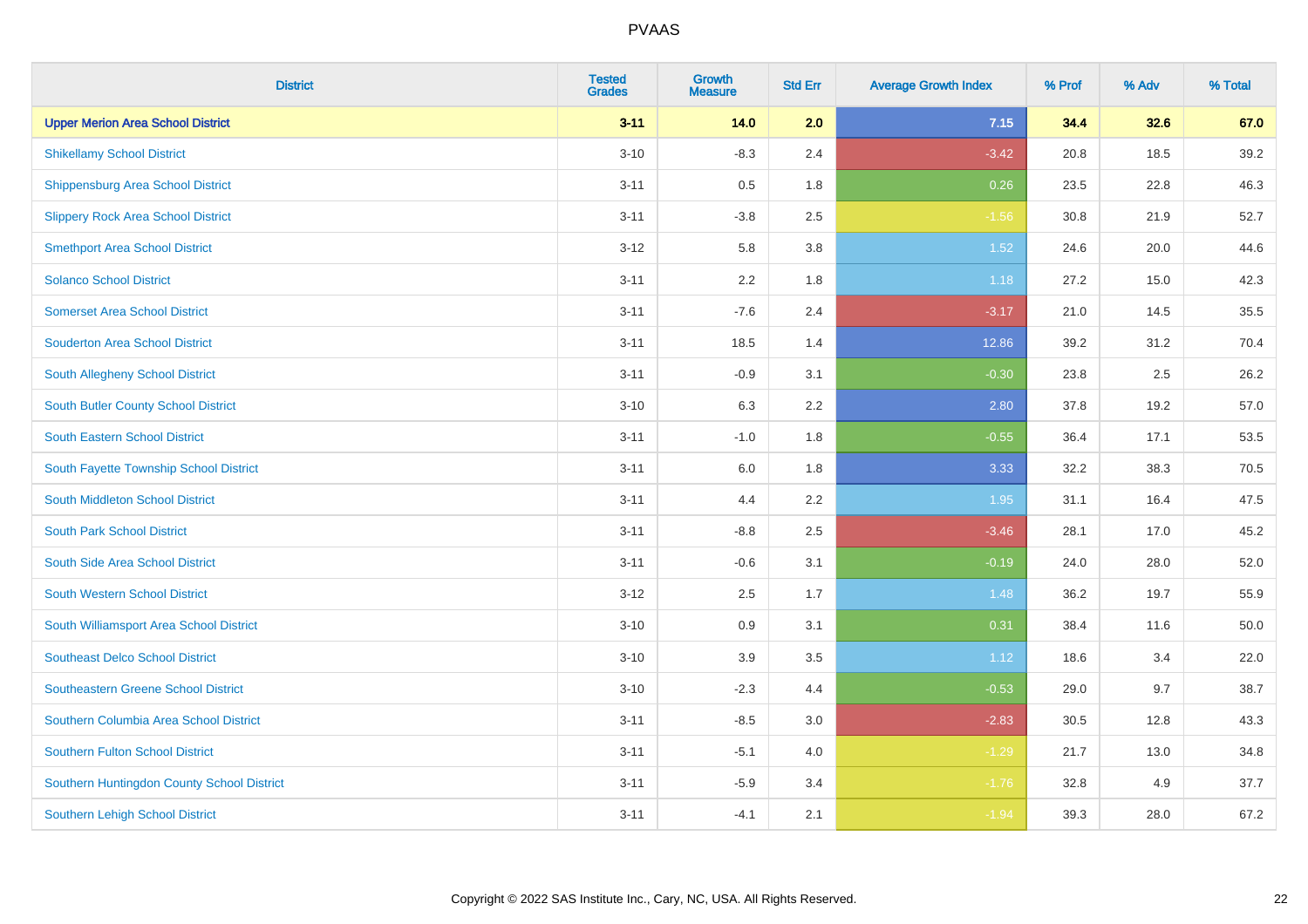| <b>District</b>                            | <b>Tested</b><br><b>Grades</b> | <b>Growth</b><br><b>Measure</b> | <b>Std Err</b> | <b>Average Growth Index</b> | % Prof | % Adv | % Total |
|--------------------------------------------|--------------------------------|---------------------------------|----------------|-----------------------------|--------|-------|---------|
| <b>Upper Merion Area School District</b>   | $3 - 11$                       | 14.0                            | 2.0            | 7.15                        | 34.4   | 32.6  | 67.0    |
| <b>Shikellamy School District</b>          | $3 - 10$                       | $-8.3$                          | 2.4            | $-3.42$                     | 20.8   | 18.5  | 39.2    |
| <b>Shippensburg Area School District</b>   | $3 - 11$                       | 0.5                             | 1.8            | 0.26                        | 23.5   | 22.8  | 46.3    |
| <b>Slippery Rock Area School District</b>  | $3 - 11$                       | $-3.8$                          | 2.5            | $-1.56$                     | 30.8   | 21.9  | 52.7    |
| <b>Smethport Area School District</b>      | $3 - 12$                       | 5.8                             | 3.8            | 1.52                        | 24.6   | 20.0  | 44.6    |
| <b>Solanco School District</b>             | $3 - 11$                       | 2.2                             | 1.8            | 1.18                        | 27.2   | 15.0  | 42.3    |
| <b>Somerset Area School District</b>       | $3 - 11$                       | $-7.6$                          | 2.4            | $-3.17$                     | 21.0   | 14.5  | 35.5    |
| <b>Souderton Area School District</b>      | $3 - 11$                       | 18.5                            | 1.4            | 12.86                       | 39.2   | 31.2  | 70.4    |
| South Allegheny School District            | $3 - 11$                       | $-0.9$                          | 3.1            | $-0.30$                     | 23.8   | 2.5   | 26.2    |
| South Butler County School District        | $3 - 10$                       | 6.3                             | 2.2            | 2.80                        | 37.8   | 19.2  | 57.0    |
| <b>South Eastern School District</b>       | $3 - 11$                       | $-1.0$                          | 1.8            | $-0.55$                     | 36.4   | 17.1  | 53.5    |
| South Fayette Township School District     | $3 - 11$                       | 6.0                             | 1.8            | 3.33                        | 32.2   | 38.3  | 70.5    |
| South Middleton School District            | $3 - 11$                       | 4.4                             | 2.2            | 1.95                        | 31.1   | 16.4  | 47.5    |
| <b>South Park School District</b>          | $3 - 11$                       | $-8.8$                          | 2.5            | $-3.46$                     | 28.1   | 17.0  | 45.2    |
| South Side Area School District            | $3 - 11$                       | $-0.6$                          | 3.1            | $-0.19$                     | 24.0   | 28.0  | 52.0    |
| <b>South Western School District</b>       | $3 - 12$                       | 2.5                             | 1.7            | 1.48                        | 36.2   | 19.7  | 55.9    |
| South Williamsport Area School District    | $3 - 10$                       | 0.9                             | 3.1            | 0.31                        | 38.4   | 11.6  | 50.0    |
| <b>Southeast Delco School District</b>     | $3 - 10$                       | 3.9                             | 3.5            | 1.12                        | 18.6   | 3.4   | 22.0    |
| <b>Southeastern Greene School District</b> | $3 - 10$                       | $-2.3$                          | 4.4            | $-0.53$                     | 29.0   | 9.7   | 38.7    |
| Southern Columbia Area School District     | $3 - 11$                       | $-8.5$                          | 3.0            | $-2.83$                     | 30.5   | 12.8  | 43.3    |
| <b>Southern Fulton School District</b>     | $3 - 11$                       | $-5.1$                          | 4.0            | $-1.29$                     | 21.7   | 13.0  | 34.8    |
| Southern Huntingdon County School District | $3 - 11$                       | $-5.9$                          | 3.4            | $-1.76$                     | 32.8   | 4.9   | 37.7    |
| <b>Southern Lehigh School District</b>     | $3 - 11$                       | $-4.1$                          | 2.1            | $-1.94$                     | 39.3   | 28.0  | 67.2    |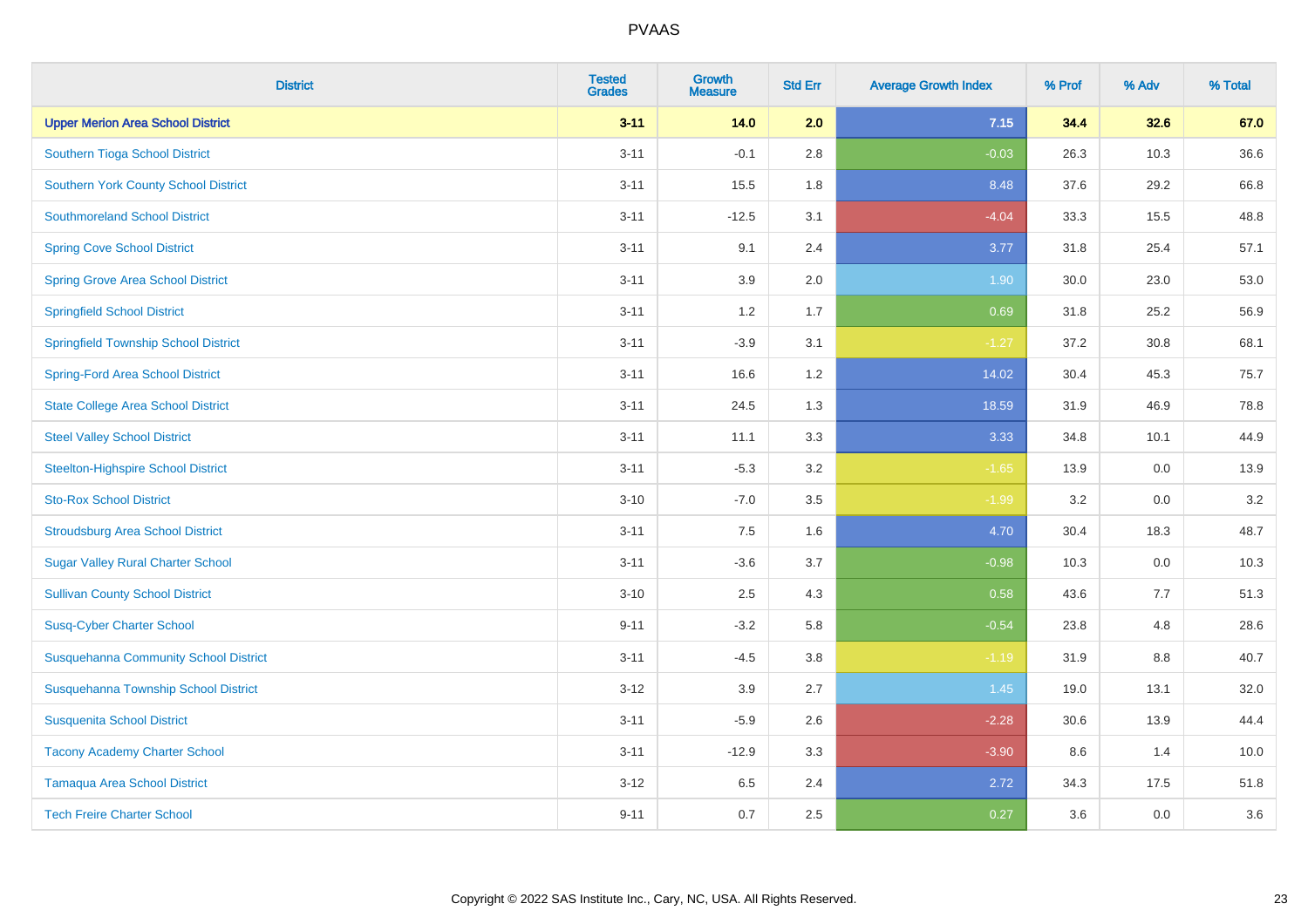| <b>District</b>                              | <b>Tested</b><br><b>Grades</b> | <b>Growth</b><br><b>Measure</b> | <b>Std Err</b> | <b>Average Growth Index</b> | % Prof | % Adv | % Total |
|----------------------------------------------|--------------------------------|---------------------------------|----------------|-----------------------------|--------|-------|---------|
| <b>Upper Merion Area School District</b>     | $3 - 11$                       | 14.0                            | 2.0            | 7.15                        | 34.4   | 32.6  | 67.0    |
| Southern Tioga School District               | $3 - 11$                       | $-0.1$                          | 2.8            | $-0.03$                     | 26.3   | 10.3  | 36.6    |
| <b>Southern York County School District</b>  | $3 - 11$                       | 15.5                            | 1.8            | 8.48                        | 37.6   | 29.2  | 66.8    |
| <b>Southmoreland School District</b>         | $3 - 11$                       | $-12.5$                         | 3.1            | $-4.04$                     | 33.3   | 15.5  | 48.8    |
| <b>Spring Cove School District</b>           | $3 - 11$                       | 9.1                             | 2.4            | 3.77                        | 31.8   | 25.4  | 57.1    |
| <b>Spring Grove Area School District</b>     | $3 - 11$                       | 3.9                             | 2.0            | 1.90                        | 30.0   | 23.0  | 53.0    |
| <b>Springfield School District</b>           | $3 - 11$                       | 1.2                             | 1.7            | 0.69                        | 31.8   | 25.2  | 56.9    |
| <b>Springfield Township School District</b>  | $3 - 11$                       | $-3.9$                          | 3.1            | $-1.27$                     | 37.2   | 30.8  | 68.1    |
| <b>Spring-Ford Area School District</b>      | $3 - 11$                       | 16.6                            | 1.2            | 14.02                       | 30.4   | 45.3  | 75.7    |
| <b>State College Area School District</b>    | $3 - 11$                       | 24.5                            | 1.3            | 18.59                       | 31.9   | 46.9  | 78.8    |
| <b>Steel Valley School District</b>          | $3 - 11$                       | 11.1                            | 3.3            | 3.33                        | 34.8   | 10.1  | 44.9    |
| <b>Steelton-Highspire School District</b>    | $3 - 11$                       | $-5.3$                          | 3.2            | $-1.65$                     | 13.9   | 0.0   | 13.9    |
| <b>Sto-Rox School District</b>               | $3 - 10$                       | $-7.0$                          | 3.5            | $-1.99$                     | 3.2    | 0.0   | 3.2     |
| <b>Stroudsburg Area School District</b>      | $3 - 11$                       | $7.5\,$                         | 1.6            | 4.70                        | 30.4   | 18.3  | 48.7    |
| <b>Sugar Valley Rural Charter School</b>     | $3 - 11$                       | $-3.6$                          | 3.7            | $-0.98$                     | 10.3   | 0.0   | 10.3    |
| <b>Sullivan County School District</b>       | $3 - 10$                       | 2.5                             | 4.3            | 0.58                        | 43.6   | 7.7   | 51.3    |
| <b>Susq-Cyber Charter School</b>             | $9 - 11$                       | $-3.2$                          | 5.8            | $-0.54$                     | 23.8   | 4.8   | 28.6    |
| <b>Susquehanna Community School District</b> | $3 - 11$                       | $-4.5$                          | 3.8            | $-1.19$                     | 31.9   | 8.8   | 40.7    |
| Susquehanna Township School District         | $3 - 12$                       | 3.9                             | 2.7            | 1.45                        | 19.0   | 13.1  | 32.0    |
| <b>Susquenita School District</b>            | $3 - 11$                       | $-5.9$                          | 2.6            | $-2.28$                     | 30.6   | 13.9  | 44.4    |
| <b>Tacony Academy Charter School</b>         | $3 - 11$                       | $-12.9$                         | 3.3            | $-3.90$                     | 8.6    | 1.4   | 10.0    |
| <b>Tamaqua Area School District</b>          | $3 - 12$                       | 6.5                             | 2.4            | 2.72                        | 34.3   | 17.5  | 51.8    |
| <b>Tech Freire Charter School</b>            | $9 - 11$                       | 0.7                             | 2.5            | 0.27                        | 3.6    | 0.0   | 3.6     |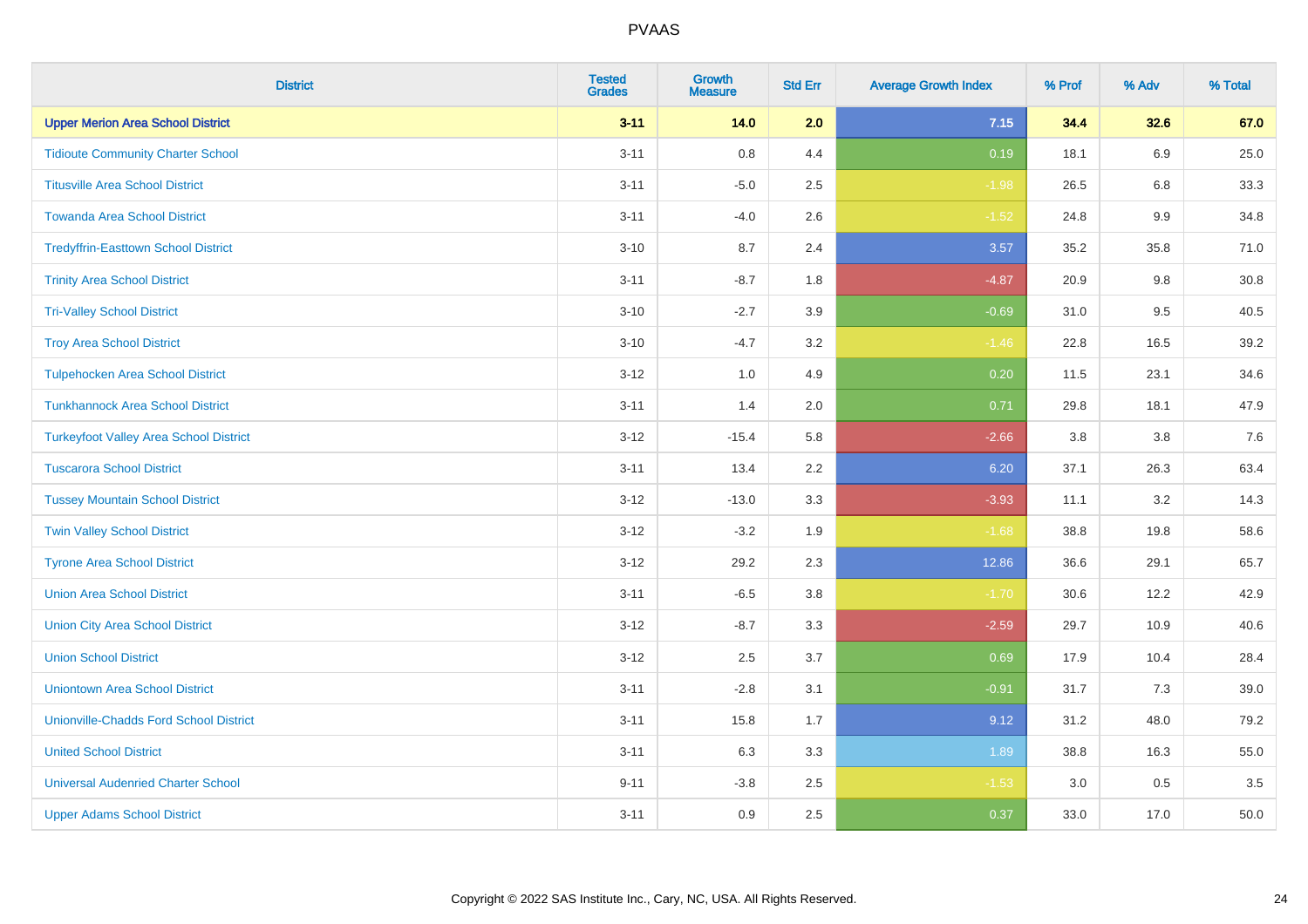| <b>District</b>                               | <b>Tested</b><br><b>Grades</b> | <b>Growth</b><br><b>Measure</b> | <b>Std Err</b> | <b>Average Growth Index</b> | % Prof | % Adv   | % Total |
|-----------------------------------------------|--------------------------------|---------------------------------|----------------|-----------------------------|--------|---------|---------|
| <b>Upper Merion Area School District</b>      | $3 - 11$                       | 14.0                            | 2.0            | 7.15                        | 34.4   | 32.6    | 67.0    |
| <b>Tidioute Community Charter School</b>      | $3 - 11$                       | 0.8                             | 4.4            | 0.19                        | 18.1   | 6.9     | 25.0    |
| <b>Titusville Area School District</b>        | $3 - 11$                       | $-5.0$                          | 2.5            | $-1.98$                     | 26.5   | 6.8     | 33.3    |
| <b>Towanda Area School District</b>           | $3 - 11$                       | $-4.0$                          | 2.6            | $-1.52$                     | 24.8   | $9.9\,$ | 34.8    |
| <b>Tredyffrin-Easttown School District</b>    | $3 - 10$                       | 8.7                             | 2.4            | 3.57                        | 35.2   | 35.8    | 71.0    |
| <b>Trinity Area School District</b>           | $3 - 11$                       | $-8.7$                          | 1.8            | $-4.87$                     | 20.9   | $9.8\,$ | 30.8    |
| <b>Tri-Valley School District</b>             | $3 - 10$                       | $-2.7$                          | 3.9            | $-0.69$                     | 31.0   | 9.5     | 40.5    |
| <b>Troy Area School District</b>              | $3 - 10$                       | $-4.7$                          | 3.2            | $-1.46$                     | 22.8   | 16.5    | 39.2    |
| <b>Tulpehocken Area School District</b>       | $3 - 12$                       | 1.0                             | 4.9            | 0.20                        | 11.5   | 23.1    | 34.6    |
| <b>Tunkhannock Area School District</b>       | $3 - 11$                       | 1.4                             | 2.0            | 0.71                        | 29.8   | 18.1    | 47.9    |
| <b>Turkeyfoot Valley Area School District</b> | $3-12$                         | $-15.4$                         | 5.8            | $-2.66$                     | 3.8    | 3.8     | 7.6     |
| <b>Tuscarora School District</b>              | $3 - 11$                       | 13.4                            | 2.2            | 6.20                        | 37.1   | 26.3    | 63.4    |
| <b>Tussey Mountain School District</b>        | $3 - 12$                       | $-13.0$                         | 3.3            | $-3.93$                     | 11.1   | 3.2     | 14.3    |
| <b>Twin Valley School District</b>            | $3 - 12$                       | $-3.2$                          | 1.9            | $-1.68$                     | 38.8   | 19.8    | 58.6    |
| <b>Tyrone Area School District</b>            | $3 - 12$                       | 29.2                            | 2.3            | 12.86                       | 36.6   | 29.1    | 65.7    |
| <b>Union Area School District</b>             | $3 - 11$                       | $-6.5$                          | 3.8            | $-1.70$                     | 30.6   | 12.2    | 42.9    |
| <b>Union City Area School District</b>        | $3 - 12$                       | $-8.7$                          | 3.3            | $-2.59$                     | 29.7   | 10.9    | 40.6    |
| <b>Union School District</b>                  | $3 - 12$                       | 2.5                             | 3.7            | 0.69                        | 17.9   | 10.4    | 28.4    |
| <b>Uniontown Area School District</b>         | $3 - 11$                       | $-2.8$                          | 3.1            | $-0.91$                     | 31.7   | 7.3     | 39.0    |
| <b>Unionville-Chadds Ford School District</b> | $3 - 11$                       | 15.8                            | 1.7            | 9.12                        | 31.2   | 48.0    | 79.2    |
| <b>United School District</b>                 | $3 - 11$                       | 6.3                             | 3.3            | 1.89                        | 38.8   | 16.3    | 55.0    |
| <b>Universal Audenried Charter School</b>     | $9 - 11$                       | $-3.8$                          | 2.5            | $-1.53$                     | 3.0    | 0.5     | 3.5     |
| <b>Upper Adams School District</b>            | $3 - 11$                       | 0.9                             | 2.5            | 0.37                        | 33.0   | 17.0    | 50.0    |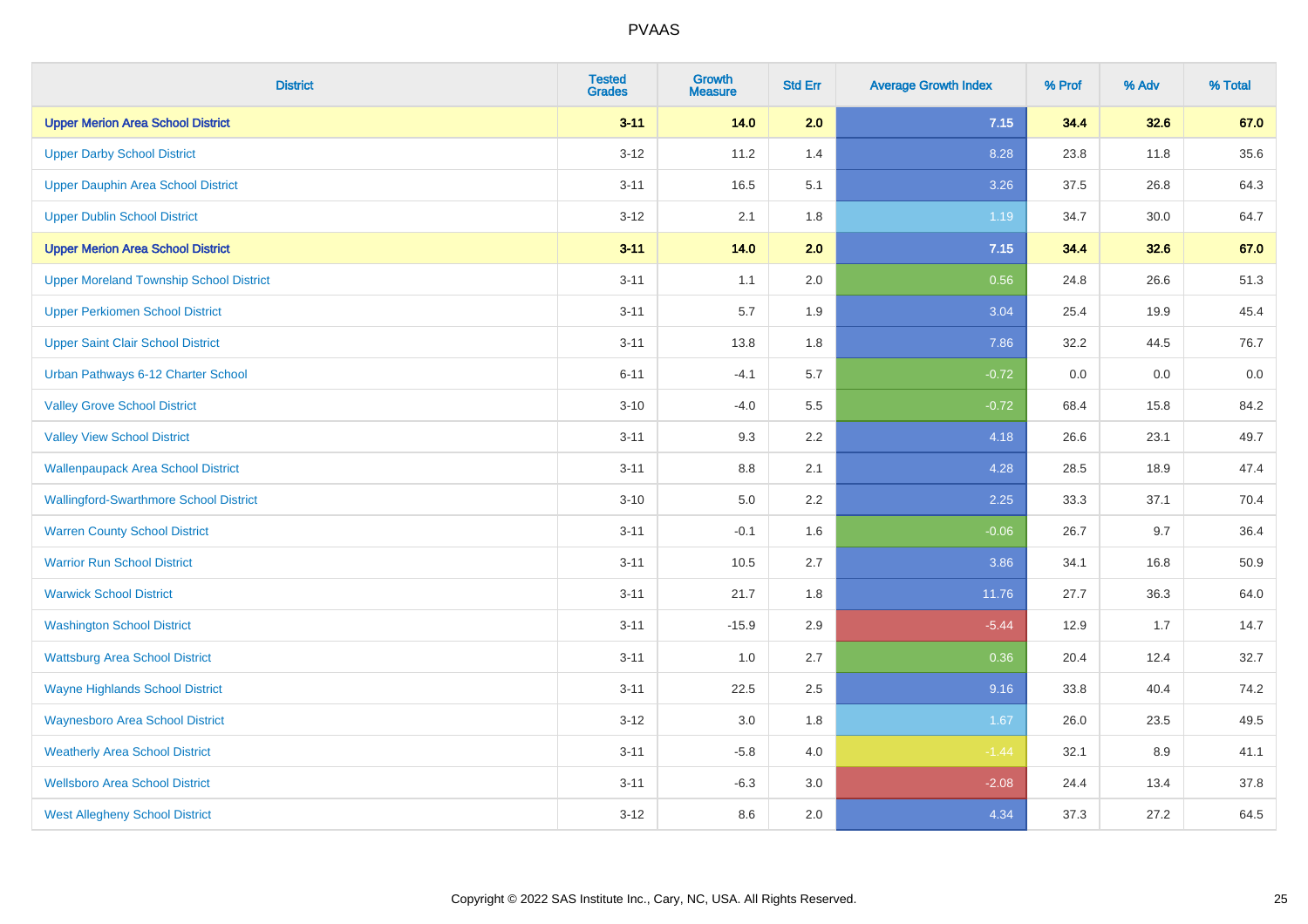| <b>District</b>                                | <b>Tested</b><br><b>Grades</b> | <b>Growth</b><br><b>Measure</b> | <b>Std Err</b> | <b>Average Growth Index</b> | % Prof | % Adv | % Total |
|------------------------------------------------|--------------------------------|---------------------------------|----------------|-----------------------------|--------|-------|---------|
| <b>Upper Merion Area School District</b>       | $3 - 11$                       | 14.0                            | 2.0            | 7.15                        | 34.4   | 32.6  | 67.0    |
| <b>Upper Darby School District</b>             | $3-12$                         | 11.2                            | 1.4            | 8.28                        | 23.8   | 11.8  | 35.6    |
| Upper Dauphin Area School District             | $3 - 11$                       | 16.5                            | 5.1            | 3.26                        | 37.5   | 26.8  | 64.3    |
| <b>Upper Dublin School District</b>            | $3 - 12$                       | 2.1                             | 1.8            | 1.19                        | 34.7   | 30.0  | 64.7    |
| <b>Upper Merion Area School District</b>       | $3 - 11$                       | 14.0                            | 2.0            | 7.15                        | 34.4   | 32.6  | 67.0    |
| <b>Upper Moreland Township School District</b> | $3 - 11$                       | 1.1                             | 2.0            | 0.56                        | 24.8   | 26.6  | 51.3    |
| <b>Upper Perkiomen School District</b>         | $3 - 11$                       | 5.7                             | 1.9            | 3.04                        | 25.4   | 19.9  | 45.4    |
| <b>Upper Saint Clair School District</b>       | $3 - 11$                       | 13.8                            | 1.8            | 7.86                        | 32.2   | 44.5  | 76.7    |
| Urban Pathways 6-12 Charter School             | $6 - 11$                       | $-4.1$                          | 5.7            | $-0.72$                     | 0.0    | 0.0   | 0.0     |
| <b>Valley Grove School District</b>            | $3 - 10$                       | $-4.0$                          | 5.5            | $-0.72$                     | 68.4   | 15.8  | 84.2    |
| <b>Valley View School District</b>             | $3 - 11$                       | 9.3                             | 2.2            | 4.18                        | 26.6   | 23.1  | 49.7    |
| <b>Wallenpaupack Area School District</b>      | $3 - 11$                       | $8.8\,$                         | 2.1            | 4.28                        | 28.5   | 18.9  | 47.4    |
| <b>Wallingford-Swarthmore School District</b>  | $3 - 10$                       | $5.0\,$                         | 2.2            | 2.25                        | 33.3   | 37.1  | 70.4    |
| <b>Warren County School District</b>           | $3 - 11$                       | $-0.1$                          | 1.6            | $-0.06$                     | 26.7   | 9.7   | 36.4    |
| <b>Warrior Run School District</b>             | $3 - 11$                       | 10.5                            | 2.7            | 3.86                        | 34.1   | 16.8  | 50.9    |
| <b>Warwick School District</b>                 | $3 - 11$                       | 21.7                            | 1.8            | 11.76                       | 27.7   | 36.3  | 64.0    |
| <b>Washington School District</b>              | $3 - 11$                       | $-15.9$                         | 2.9            | $-5.44$                     | 12.9   | 1.7   | 14.7    |
| <b>Wattsburg Area School District</b>          | $3 - 11$                       | 1.0                             | 2.7            | 0.36                        | 20.4   | 12.4  | 32.7    |
| <b>Wayne Highlands School District</b>         | $3 - 11$                       | 22.5                            | 2.5            | 9.16                        | 33.8   | 40.4  | 74.2    |
| <b>Waynesboro Area School District</b>         | $3 - 12$                       | $3.0\,$                         | 1.8            | 1.67                        | 26.0   | 23.5  | 49.5    |
| <b>Weatherly Area School District</b>          | $3 - 11$                       | $-5.8$                          | 4.0            | $-1.44$                     | 32.1   | 8.9   | 41.1    |
| <b>Wellsboro Area School District</b>          | $3 - 11$                       | $-6.3$                          | 3.0            | $-2.08$                     | 24.4   | 13.4  | 37.8    |
| <b>West Allegheny School District</b>          | $3 - 12$                       | 8.6                             | 2.0            | 4.34                        | 37.3   | 27.2  | 64.5    |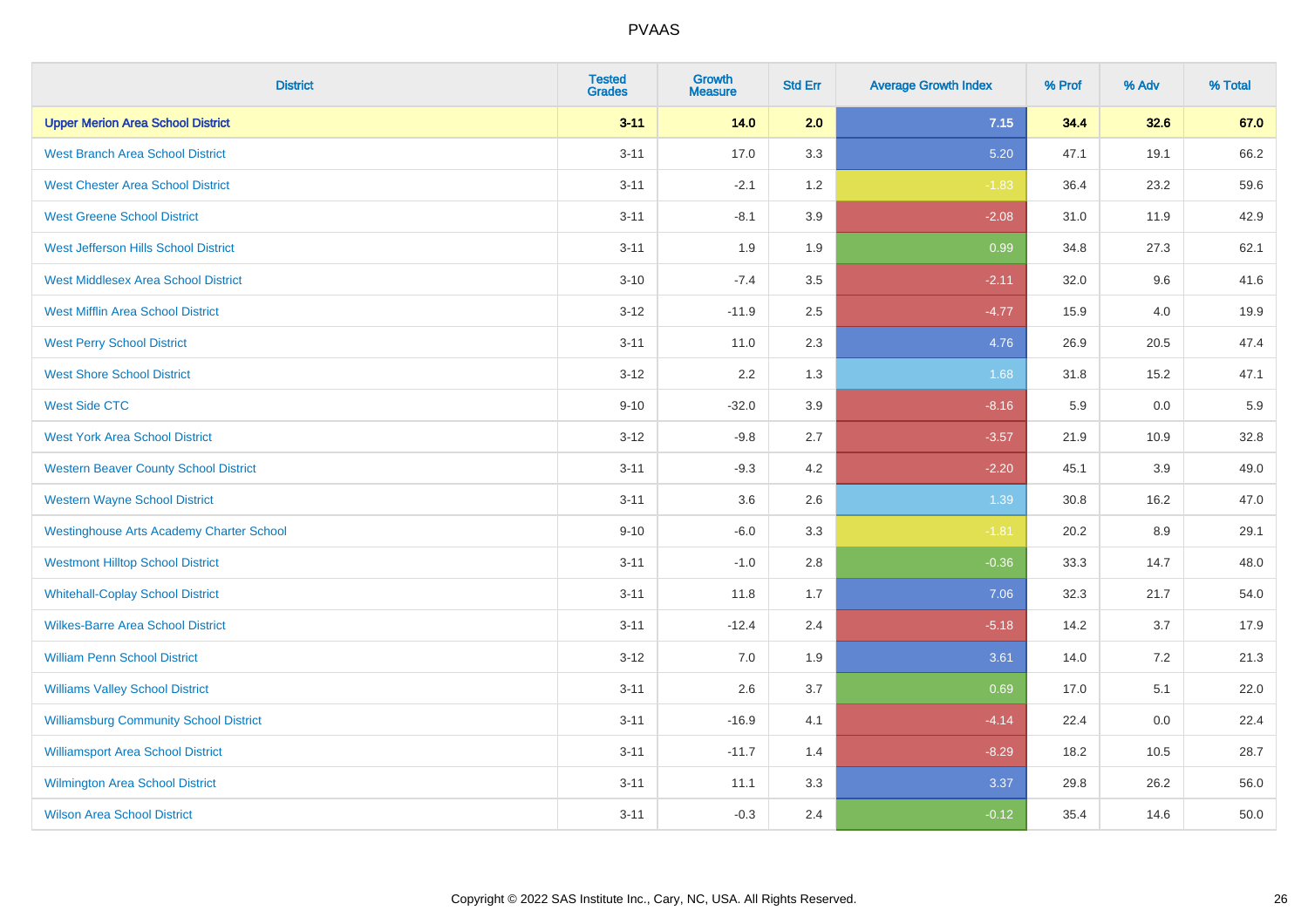| <b>District</b>                                 | <b>Tested</b><br><b>Grades</b> | <b>Growth</b><br><b>Measure</b> | <b>Std Err</b> | <b>Average Growth Index</b> | % Prof | % Adv | % Total |
|-------------------------------------------------|--------------------------------|---------------------------------|----------------|-----------------------------|--------|-------|---------|
| <b>Upper Merion Area School District</b>        | $3 - 11$                       | 14.0                            | 2.0            | 7.15                        | 34.4   | 32.6  | 67.0    |
| <b>West Branch Area School District</b>         | $3 - 11$                       | 17.0                            | 3.3            | 5.20                        | 47.1   | 19.1  | 66.2    |
| <b>West Chester Area School District</b>        | $3 - 11$                       | $-2.1$                          | 1.2            | $-1.83$                     | 36.4   | 23.2  | 59.6    |
| <b>West Greene School District</b>              | $3 - 11$                       | $-8.1$                          | 3.9            | $-2.08$                     | 31.0   | 11.9  | 42.9    |
| West Jefferson Hills School District            | $3 - 11$                       | 1.9                             | 1.9            | 0.99                        | 34.8   | 27.3  | 62.1    |
| <b>West Middlesex Area School District</b>      | $3 - 10$                       | $-7.4$                          | 3.5            | $-2.11$                     | 32.0   | 9.6   | 41.6    |
| <b>West Mifflin Area School District</b>        | $3 - 12$                       | $-11.9$                         | 2.5            | $-4.77$                     | 15.9   | 4.0   | 19.9    |
| <b>West Perry School District</b>               | $3 - 11$                       | 11.0                            | 2.3            | 4.76                        | 26.9   | 20.5  | 47.4    |
| <b>West Shore School District</b>               | $3 - 12$                       | 2.2                             | 1.3            | 1.68                        | 31.8   | 15.2  | 47.1    |
| <b>West Side CTC</b>                            | $9 - 10$                       | $-32.0$                         | 3.9            | $-8.16$                     | 5.9    | 0.0   | 5.9     |
| <b>West York Area School District</b>           | $3 - 12$                       | $-9.8$                          | 2.7            | $-3.57$                     | 21.9   | 10.9  | 32.8    |
| <b>Western Beaver County School District</b>    | $3 - 11$                       | $-9.3$                          | 4.2            | $-2.20$                     | 45.1   | 3.9   | 49.0    |
| <b>Western Wayne School District</b>            | $3 - 11$                       | 3.6                             | 2.6            | 1.39                        | 30.8   | 16.2  | 47.0    |
| <b>Westinghouse Arts Academy Charter School</b> | $9 - 10$                       | $-6.0$                          | 3.3            | $-1.81$                     | 20.2   | 8.9   | 29.1    |
| <b>Westmont Hilltop School District</b>         | $3 - 11$                       | $-1.0$                          | 2.8            | $-0.36$                     | 33.3   | 14.7  | 48.0    |
| <b>Whitehall-Coplay School District</b>         | $3 - 11$                       | 11.8                            | 1.7            | 7.06                        | 32.3   | 21.7  | 54.0    |
| <b>Wilkes-Barre Area School District</b>        | $3 - 11$                       | $-12.4$                         | 2.4            | $-5.18$                     | 14.2   | 3.7   | 17.9    |
| <b>William Penn School District</b>             | $3 - 12$                       | 7.0                             | 1.9            | 3.61                        | 14.0   | 7.2   | 21.3    |
| <b>Williams Valley School District</b>          | $3 - 11$                       | 2.6                             | 3.7            | 0.69                        | 17.0   | 5.1   | 22.0    |
| <b>Williamsburg Community School District</b>   | $3 - 11$                       | $-16.9$                         | 4.1            | $-4.14$                     | 22.4   | 0.0   | 22.4    |
| <b>Williamsport Area School District</b>        | $3 - 11$                       | $-11.7$                         | 1.4            | $-8.29$                     | 18.2   | 10.5  | 28.7    |
| Wilmington Area School District                 | $3 - 11$                       | 11.1                            | 3.3            | 3.37                        | 29.8   | 26.2  | 56.0    |
| <b>Wilson Area School District</b>              | $3 - 11$                       | $-0.3$                          | 2.4            | $-0.12$                     | 35.4   | 14.6  | 50.0    |